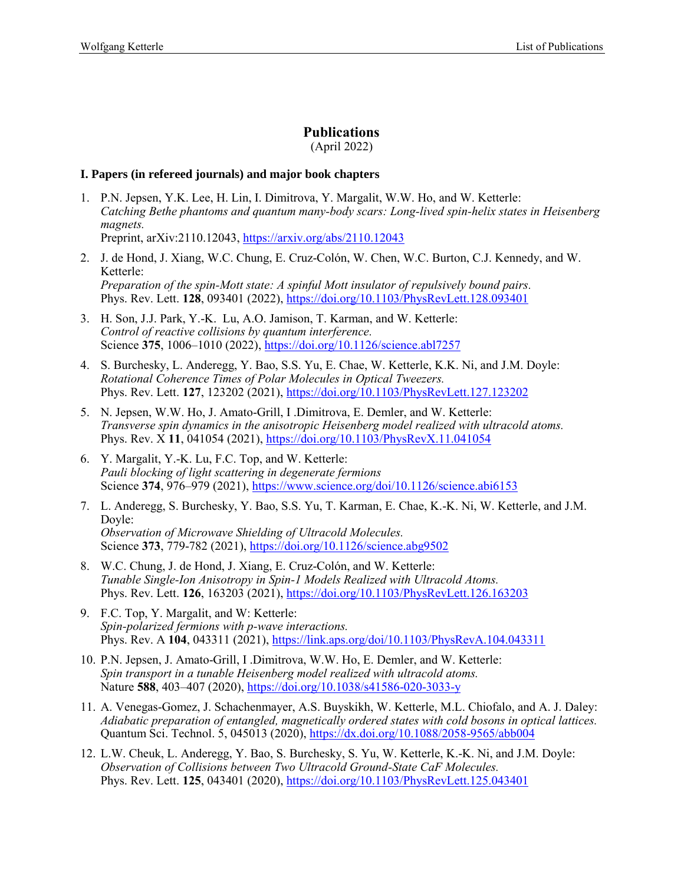# **Publications**

(April 2022)

### **I. Papers (in refereed journals) and major book chapters**

- 1. P.N. Jepsen, Y.K. Lee, H. Lin, I. Dimitrova, Y. Margalit, W.W. Ho, and W. Ketterle: *Catching Bethe phantoms and quantum many-body scars: Long-lived spin-helix states in Heisenberg magnets.* Preprint, arXiv:2110.12043,<https://arxiv.org/abs/2110.12043>
- 2. J. de Hond, J. Xiang, W.C. Chung, E. Cruz-Colón, W. Chen, W.C. Burton, C.J. Kennedy, and W. Ketterle: *Preparation of the spin-Mott state: A spinful Mott insulator of repulsively bound pairs.* Phys. Rev. Lett. **128**, 093401 (2022), <https://doi.org/10.1103/PhysRevLett.128.093401>
- 3. H. Son, J.J. Park, Y.-K. Lu, A.O. Jamison, T. Karman, and W. Ketterle: *Control of reactive collisions by quantum interference.* Science **375**, 1006–1010 (2022)[, https://doi.org/10.1126/science.abl7257](https://doi.org/10.1126/science.abl7257)
- 4. S. Burchesky, L. Anderegg, Y. Bao, S.S. Yu, E. Chae, W. Ketterle, K.K. Ni, and J.M. Doyle: *Rotational Coherence Times of Polar Molecules in Optical Tweezers.* Phys. Rev. Lett. **127**, 123202 (2021),<https://doi.org/10.1103/PhysRevLett.127.123202>
- 5. N. Jepsen, W.W. Ho, J. Amato-Grill, I .Dimitrova, E. Demler, and W. Ketterle: *Transverse spin dynamics in the anisotropic Heisenberg model realized with ultracold atoms.* Phys. Rev. X 11, 041054 (2021),<https://doi.org/10.1103/PhysRevX.11.041054>
- 6. Y. Margalit, Y.-K. Lu, F.C. Top, and W. Ketterle: *Pauli blocking of light scattering in degenerate fermions* Science **374**, 976–979 (2021)[, https://www.science.org/doi/10.1126/science.abi6153](https://www.science.org/doi/10.1126/science.abi6153)
- 7. L. Anderegg, S. Burchesky, Y. Bao, S.S. Yu, T. Karman, E. Chae, K.-K. Ni, W. Ketterle, and J.M. Doyle: *Observation of Microwave Shielding of Ultracold Molecules.* Science **373**, 779-782 (2021),<https://doi.org/10.1126/science.abg9502>
- 8. W.C. Chung, J. de Hond, J. Xiang, E. Cruz-Colón, and W. Ketterle: *Tunable Single-Ion Anisotropy in Spin-1 Models Realized with Ultracold Atoms.* Phys. Rev. Lett. **126**, 163203 (2021),<https://doi.org/10.1103/PhysRevLett.126.163203>
- 9. F.C. Top, Y. Margalit, and W: Ketterle: *Spin-polarized fermions with p-wave interactions.* Phys. Rev. A **104**, 043311 (2021),<https://link.aps.org/doi/10.1103/PhysRevA.104.043311>
- 10. P.N. Jepsen, J. Amato-Grill, I .Dimitrova, W.W. Ho, E. Demler, and W. Ketterle: *Spin transport in a tunable Heisenberg model realized with ultracold atoms.* Nature **588**, 403–407 (2020), <https://doi.org/10.1038/s41586-020-3033-y>
- 11. A. Venegas-Gomez, J. Schachenmayer, A.S. Buyskikh, W. Ketterle, M.L. Chiofalo, and A. J. Daley: *Adiabatic preparation of entangled, magnetically ordered states with cold bosons in optical lattices.* Quantum Sci. Technol. 5, 045013 (2020),<https://dx.doi.org/10.1088/2058-9565/abb004>
- 12. L.W. Cheuk, L. Anderegg, Y. Bao, S. Burchesky, S. Yu, W. Ketterle, K.-K. Ni, and J.M. Doyle: *Observation of Collisions between Two Ultracold Ground-State CaF Molecules.* Phys. Rev. Lett. **125**, 043401 (2020),<https://doi.org/10.1103/PhysRevLett.125.043401>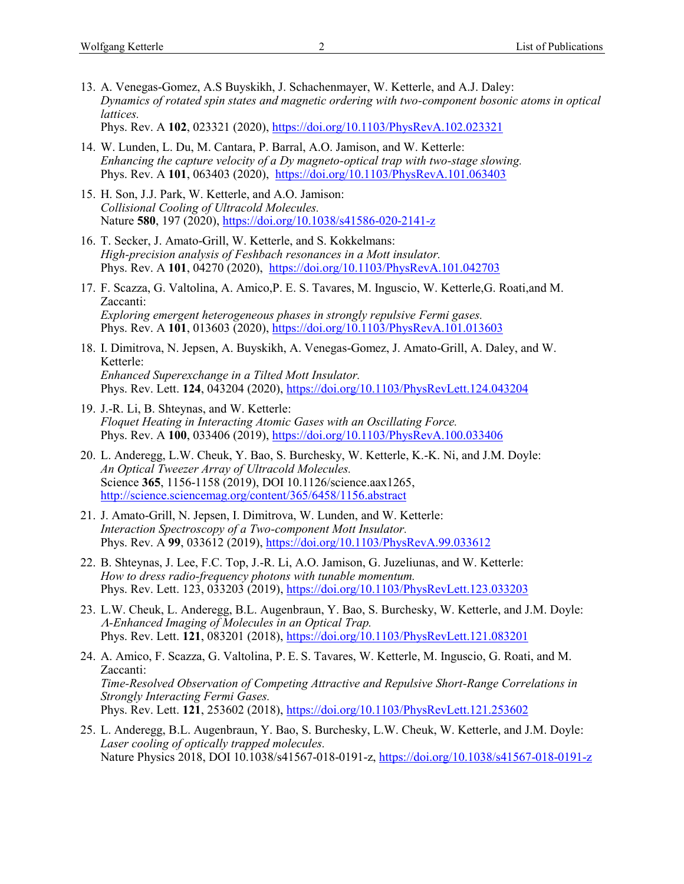13. A. Venegas-Gomez, A.S Buyskikh, J. Schachenmayer, W. Ketterle, and A.J. Daley: *Dynamics of rotated spin states and magnetic ordering with two-component bosonic atoms in optical lattices.*

Phys. Rev. A **102**, 023321 (2020),<https://doi.org/10.1103/PhysRevA.102.023321>

- 14. W. Lunden, L. Du, M. Cantara, P. Barral, A.O. Jamison, and W. Ketterle: *Enhancing the capture velocity of a Dy magneto-optical trap with two-stage slowing.* Phys. Rev. A **101**, 063403 (2020), <https://doi.org/10.1103/PhysRevA.101.063403>
- 15. H. Son, J.J. Park, W. Ketterle, and A.O. Jamison: *Collisional Cooling of Ultracold Molecules.* Nature **580**, 197 (2020),<https://doi.org/10.1038/s41586-020-2141-z>
- 16. T. Secker, J. Amato-Grill, W. Ketterle, and S. Kokkelmans: *High-precision analysis of Feshbach resonances in a Mott insulator.* Phys. Rev. A **101**, 04270 (2020), <https://doi.org/10.1103/PhysRevA.101.042703>
- 17. F. Scazza, G. Valtolina, A. Amico,P. E. S. Tavares, M. Inguscio, W. Ketterle,G. Roati,and M. Zaccanti: *Exploring emergent heterogeneous phases in strongly repulsive Fermi gases.* Phys. Rev. A **101**, 013603 (2020)[, https://doi.org/10.1103/PhysRevA.101.013603](https://doi.org/10.1103/PhysRevA.101.013603)
- 18. I. Dimitrova, N. Jepsen, A. Buyskikh, A. Venegas-Gomez, J. Amato-Grill, A. Daley, and W. Ketterle: *Enhanced Superexchange in a Tilted Mott Insulator.* Phys. Rev. Lett. **124**, 043204 (2020),<https://doi.org/10.1103/PhysRevLett.124.043204>
- 19. J.-R. Li, B. Shteynas, and W. Ketterle: *Floquet Heating in Interacting Atomic Gases with an Oscillating Force.* Phys. Rev. A **100**, 033406 (2019)[, https://doi.org/10.1103/PhysRevA.100.033406](https://doi.org/10.1103/PhysRevA.100.033406)
- 20. L. Anderegg, L.W. Cheuk, Y. Bao, S. Burchesky, W. Ketterle, K.-K. Ni, and J.M. Doyle: *An Optical Tweezer Array of Ultracold Molecules.* Science **365**, 1156-1158 (2019), DOI 10.1126/science.aax1265, <http://science.sciencemag.org/content/365/6458/1156.abstract>
- 21. J. Amato-Grill, N. Jepsen, I. Dimitrova, W. Lunden, and W. Ketterle: *Interaction Spectroscopy of a Two-component Mott Insulator.* Phys. Rev. A **99**, 033612 (2019),<https://doi.org/10.1103/PhysRevA.99.033612>
- 22. B. Shteynas, J. Lee, F.C. Top, J.-R. Li, A.O. Jamison, G. Juzeliunas, and W. Ketterle: *How to dress radio-frequency photons with tunable momentum.* Phys. Rev. Lett. 123, 033203 (2019), https://doi.org/10.1103/PhysRevLett.123.033203
- 23. L.W. Cheuk, L. Anderegg, B.L. Augenbraun, Y. Bao, S. Burchesky, W. Ketterle, and J.M. Doyle: *-Enhanced Imaging of Molecules in an Optical Trap.* Phys. Rev. Lett. **121**, 083201 (2018),<https://doi.org/10.1103/PhysRevLett.121.083201>
- 24. A. Amico, F. Scazza, G. Valtolina, P. E. S. Tavares, W. Ketterle, M. Inguscio, G. Roati, and M. Zaccanti: *Time-Resolved Observation of Competing Attractive and Repulsive Short-Range Correlations in Strongly Interacting Fermi Gases.* Phys. Rev. Lett. **121**, 253602 (2018),<https://doi.org/10.1103/PhysRevLett.121.253602>
- 25. L. Anderegg, B.L. Augenbraun, Y. Bao, S. Burchesky, L.W. Cheuk, W. Ketterle, and J.M. Doyle: *Laser cooling of optically trapped molecules.* Nature Physics 2018, DOI 10.1038/s41567-018-0191-z, <https://doi.org/10.1038/s41567-018-0191-z>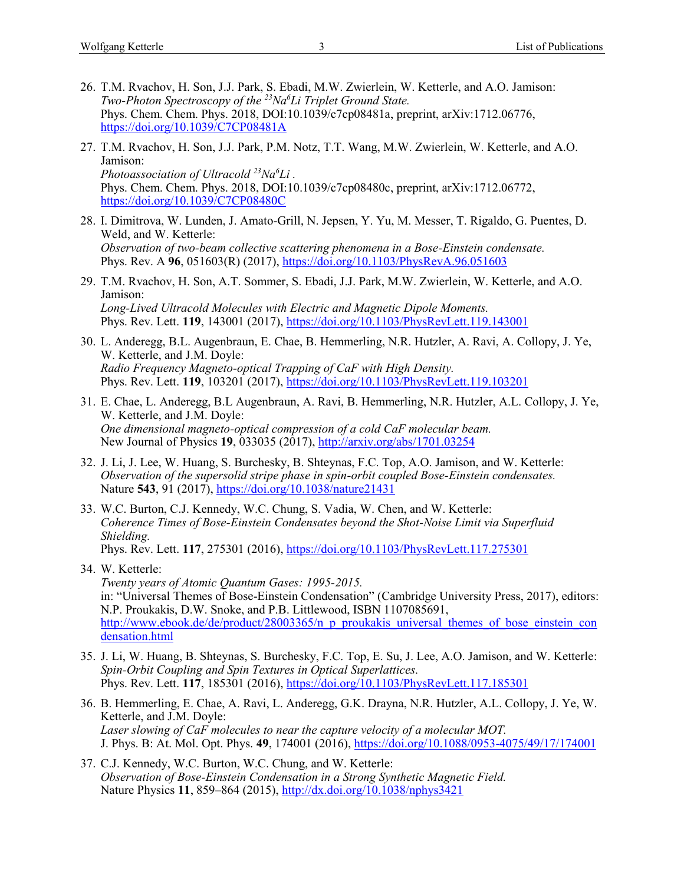- 26. T.M. Rvachov, H. Son, J.J. Park, S. Ebadi, M.W. Zwierlein, W. Ketterle, and A.O. Jamison: *Two-Photon Spectroscopy of the <sup>23</sup>Na<sup>6</sup>Li Triplet Ground State.* Phys. Chem. Chem. Phys. 2018, DOI:10.1039/c7cp08481a, preprint, arXiv:1712.06776, <https://doi.org/10.1039/C7CP08481A>
- 27. T.M. Rvachov, H. Son, J.J. Park, P.M. Notz, T.T. Wang, M.W. Zwierlein, W. Ketterle, and A.O. Jamison: *Photoassociation of Ultracold <sup>23</sup>Na<sup>6</sup>Li .* Phys. Chem. Chem. Phys. 2018, DOI:10.1039/c7cp08480c, preprint, arXiv:1712.06772, <https://doi.org/10.1039/C7CP08480C>
- 28. I. Dimitrova, W. Lunden, J. Amato-Grill, N. Jepsen, Y. Yu, M. Messer, T. Rigaldo, G. Puentes, D. Weld, and W. Ketterle: *Observation of two-beam collective scattering phenomena in a Bose-Einstein condensate.* Phys. Rev. A **96**, 051603(R) (2017),<https://doi.org/10.1103/PhysRevA.96.051603>
- 29. T.M. Rvachov, H. Son, A.T. Sommer, S. Ebadi, J.J. Park, M.W. Zwierlein, W. Ketterle, and A.O. Jamison: *Long-Lived Ultracold Molecules with Electric and Magnetic Dipole Moments.* Phys. Rev. Lett. **119**, 143001 (2017),<https://doi.org/10.1103/PhysRevLett.119.143001>
- 30. L. Anderegg, B.L. Augenbraun, E. Chae, B. Hemmerling, N.R. Hutzler, A. Ravi, A. Collopy, J. Ye, W. Ketterle, and J.M. Doyle: *Radio Frequency Magneto-optical Trapping of CaF with High Density.* Phys. Rev. Lett. **119**, 103201 (2017),<https://doi.org/10.1103/PhysRevLett.119.103201>
- 31. E. Chae, L. Anderegg, B.L Augenbraun, A. Ravi, B. Hemmerling, N.R. Hutzler, A.L. Collopy, J. Ye, W. Ketterle, and J.M. Doyle: *One dimensional magneto-optical compression of a cold CaF molecular beam.* New Journal of Physics **19**, 033035 (2017),<http://arxiv.org/abs/1701.03254>
- 32. J. Li, J. Lee, W. Huang, S. Burchesky, B. Shteynas, F.C. Top, A.O. Jamison, and W. Ketterle: *Observation of the supersolid stripe phase in spin-orbit coupled Bose-Einstein condensates.* Nature **543**, 91 (2017),<https://doi.org/10.1038/nature21431>
- 33. W.C. Burton, C.J. Kennedy, W.C. Chung, S. Vadia, W. Chen, and W. Ketterle: *Coherence Times of Bose-Einstein Condensates beyond the Shot-Noise Limit via Superfluid Shielding.* Phys. Rev. Lett. **117**, 275301 (2016), <https://doi.org/10.1103/PhysRevLett.117.275301>
- 34. W. Ketterle: *Twenty years of Atomic Quantum Gases: 1995-2015.* in: "Universal Themes of Bose-Einstein Condensation" (Cambridge University Press, 2017), editors: N.P. Proukakis, D.W. Snoke, and P.B. Littlewood, ISBN 1107085691, [http://www.ebook.de/de/product/28003365/n\\_p\\_proukakis\\_universal\\_themes\\_of\\_bose\\_einstein\\_con](http://www.ebook.de/de/product/28003365/n_p_proukakis_universal_themes_of_bose_einstein_condensation.html) [densation.html](http://www.ebook.de/de/product/28003365/n_p_proukakis_universal_themes_of_bose_einstein_condensation.html)
- 35. J. Li, W. Huang, B. Shteynas, S. Burchesky, F.C. Top, E. Su, J. Lee, A.O. Jamison, and W. Ketterle: *Spin-Orbit Coupling and Spin Textures in Optical Superlattices.* Phys. Rev. Lett. **117**, 185301 (2016),<https://doi.org/10.1103/PhysRevLett.117.185301>
- 36. B. Hemmerling, E. Chae, A. Ravi, L. Anderegg, G.K. Drayna, N.R. Hutzler, A.L. Collopy, J. Ye, W. Ketterle, and J.M. Doyle: *Laser slowing of CaF molecules to near the capture velocity of a molecular MOT.* J. Phys. B: At. Mol. Opt. Phys. **49**, 174001 (2016),<https://doi.org/10.1088/0953-4075/49/17/174001>
- 37. C.J. Kennedy, W.C. Burton, W.C. Chung, and W. Ketterle: *Observation of Bose-Einstein Condensation in a Strong Synthetic Magnetic Field.* Nature Physics **11**, 859–864 (2015),<http://dx.doi.org/10.1038/nphys3421>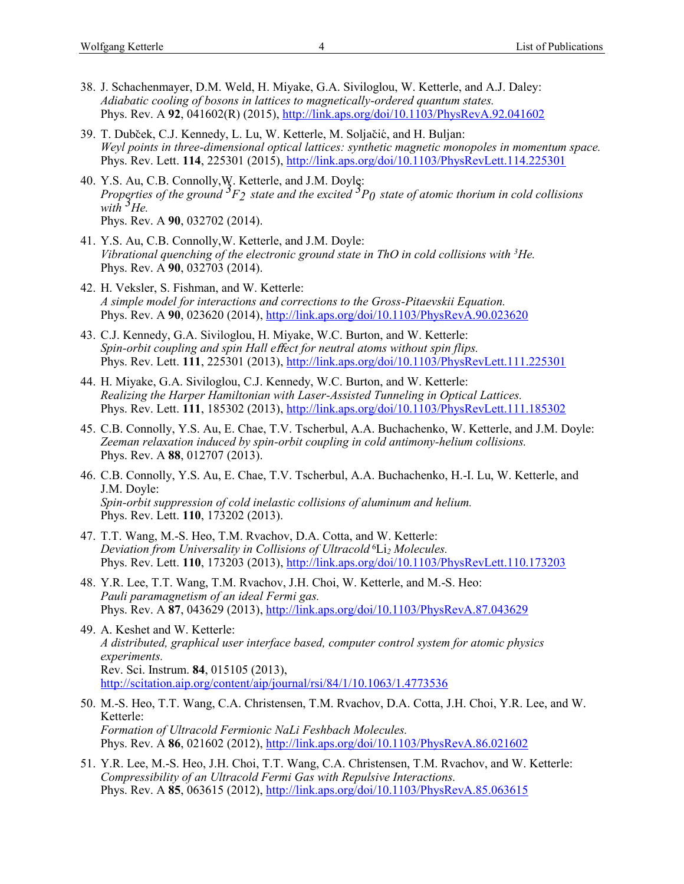- 38. J. Schachenmayer, D.M. Weld, H. Miyake, G.A. Siviloglou, W. Ketterle, and A.J. Daley: *Adiabatic cooling of bosons in lattices to magnetically-ordered quantum states.* Phys. Rev. A **92**, 041602(R) (2015),<http://link.aps.org/doi/10.1103/PhysRevA.92.041602>
- 39. T. Dubček, C.J. Kennedy, L. Lu, W. Ketterle, M. Soljačić, and H. Buljan: *Weyl points in three-dimensional optical lattices: synthetic magnetic monopoles in momentum space.* Phys. Rev. Lett. **114**, 225301 (2015),<http://link.aps.org/doi/10.1103/PhysRevLett.114.225301>
- 40. Y.S. Au, C.B. Connolly,W. Ketterle, and J.M. Doyle: *Properties of the ground 3F2 state and the excited 3P0 state of atomic thorium in cold collisions with 3He.* Phys. Rev. A **90**, 032702 (2014).
- 41. Y.S. Au, C.B. Connolly,W. Ketterle, and J.M. Doyle: *Vibrational quenching of the electronic ground state in ThO in cold collisions with <sup>3</sup>He.* Phys. Rev. A **90**, 032703 (2014).
- 42. H. Veksler, S. Fishman, and W. Ketterle: *A simple model for interactions and corrections to the Gross-Pitaevskii Equation.* Phys. Rev. A **90**, 023620 (2014),<http://link.aps.org/doi/10.1103/PhysRevA.90.023620>
- 43. C.J. Kennedy, G.A. Siviloglou, H. Miyake, W.C. Burton, and W. Ketterle: *Spin-orbit coupling and spin Hall e*ff*ect for neutral atoms without spin flips.* Phys. Rev. Lett. **111**, 225301 (2013),<http://link.aps.org/doi/10.1103/PhysRevLett.111.225301>
- 44. H. Miyake, G.A. Siviloglou, C.J. Kennedy, W.C. Burton, and W. Ketterle: *Realizing the Harper Hamiltonian with Laser-Assisted Tunneling in Optical Lattices.* Phys. Rev. Lett. **111**, 185302 (2013),<http://link.aps.org/doi/10.1103/PhysRevLett.111.185302>
- 45. C.B. Connolly, Y.S. Au, E. Chae, T.V. Tscherbul, A.A. Buchachenko, W. Ketterle, and J.M. Doyle: *Zeeman relaxation induced by spin-orbit coupling in cold antimony-helium collisions.* Phys. Rev. A **88**, 012707 (2013).
- 46. C.B. Connolly, Y.S. Au, E. Chae, T.V. Tscherbul, A.A. Buchachenko, H.-I. Lu, W. Ketterle, and J.M. Doyle: *Spin-orbit suppression of cold inelastic collisions of aluminum and helium.* Phys. Rev. Lett. **110**, 173202 (2013).
- 47. T.T. Wang, M.-S. Heo, T.M. Rvachov, D.A. Cotta, and W. Ketterle: *Deviation from Universality in Collisions of Ultracold* <sup>6</sup>Li*<sup>2</sup> Molecules.* Phys. Rev. Lett. **110**, 173203 (2013),<http://link.aps.org/doi/10.1103/PhysRevLett.110.173203>
- 48. Y.R. Lee, T.T. Wang, T.M. Rvachov, J.H. Choi, W. Ketterle, and M.-S. Heo: *Pauli paramagnetism of an ideal Fermi gas.* Phys. Rev. A **87**, 043629 (2013),<http://link.aps.org/doi/10.1103/PhysRevA.87.043629>
- 49. A. Keshet and W. Ketterle: *A distributed, graphical user interface based, computer control system for atomic physics experiments.* Rev. Sci. Instrum. **84**, 015105 (2013), <http://scitation.aip.org/content/aip/journal/rsi/84/1/10.1063/1.4773536>
- 50. M.-S. Heo, T.T. Wang, C.A. Christensen, T.M. Rvachov, D.A. Cotta, J.H. Choi, Y.R. Lee, and W. Ketterle: *Formation of Ultracold Fermionic NaLi Feshbach Molecules.* Phys. Rev. A **86**, 021602 (2012),<http://link.aps.org/doi/10.1103/PhysRevA.86.021602>
- 51. Y.R. Lee, M.-S. Heo, J.H. Choi, T.T. Wang, C.A. Christensen, T.M. Rvachov, and W. Ketterle: *Compressibility of an Ultracold Fermi Gas with Repulsive Interactions.* Phys. Rev. A **85**, 063615 (2012),<http://link.aps.org/doi/10.1103/PhysRevA.85.063615>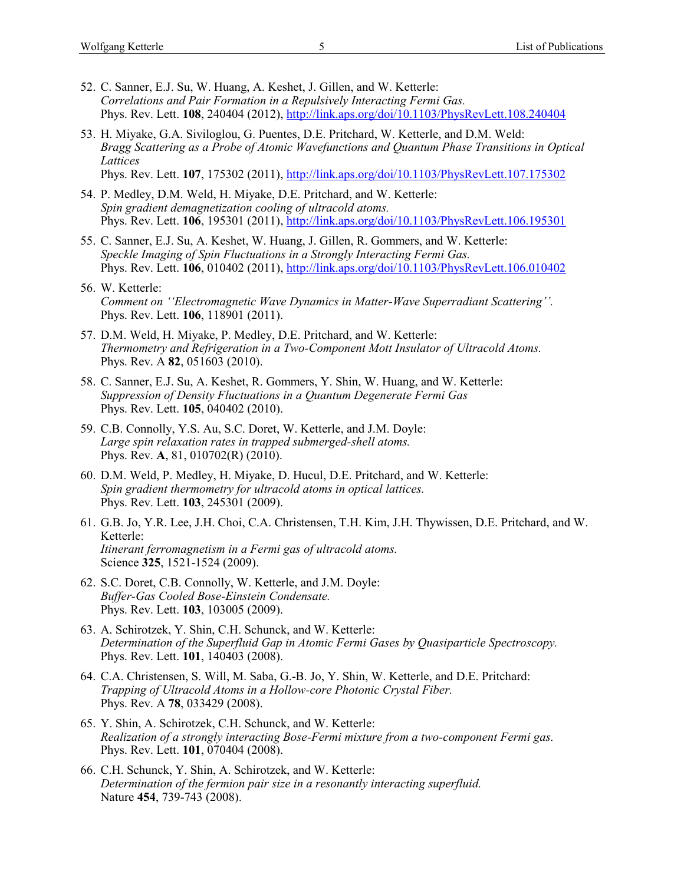- 52. C. Sanner, E.J. Su, W. Huang, A. Keshet, J. Gillen, and W. Ketterle: *Correlations and Pair Formation in a Repulsively Interacting Fermi Gas.* Phys. Rev. Lett. **108**, 240404 (2012),<http://link.aps.org/doi/10.1103/PhysRevLett.108.240404>
- 53. H. Miyake, G.A. Siviloglou, G. Puentes, D.E. Pritchard, W. Ketterle, and D.M. Weld: *Bragg Scattering as a Probe of Atomic Wavefunctions and Quantum Phase Transitions in Optical Lattices* Phys. Rev. Lett. **107**, 175302 (2011),<http://link.aps.org/doi/10.1103/PhysRevLett.107.175302>
	-
- 54. P. Medley, D.M. Weld, H. Miyake, D.E. Pritchard, and W. Ketterle: *Spin gradient demagnetization cooling of ultracold atoms.* Phys. Rev. Lett. **106**, 195301 (2011),<http://link.aps.org/doi/10.1103/PhysRevLett.106.195301>
- 55. C. Sanner, E.J. Su, A. Keshet, W. Huang, J. Gillen, R. Gommers, and W. Ketterle: *Speckle Imaging of Spin Fluctuations in a Strongly Interacting Fermi Gas.* Phys. Rev. Lett. **106**, 010402 (2011),<http://link.aps.org/doi/10.1103/PhysRevLett.106.010402>
- 56. W. Ketterle: *Comment on ''Electromagnetic Wave Dynamics in Matter-Wave Superradiant Scattering''.* Phys. Rev. Lett. **106**, 118901 (2011).
- 57. D.M. Weld, H. Miyake, P. Medley, D.E. Pritchard, and W. Ketterle: *Thermometry and Refrigeration in a Two-Component Mott Insulator of Ultracold Atoms.* Phys. Rev. A **82**, 051603 (2010).
- 58. C. Sanner, E.J. Su, A. Keshet, R. Gommers, Y. Shin, W. Huang, and W. Ketterle: *Suppression of Density Fluctuations in a Quantum Degenerate Fermi Gas* Phys. Rev. Lett. **105**, 040402 (2010).
- 59. C.B. Connolly, Y.S. Au, S.C. Doret, W. Ketterle, and J.M. Doyle: *Large spin relaxation rates in trapped submerged-shell atoms.* Phys. Rev. **A**, 81, 010702(R) (2010).
- 60. D.M. Weld, P. Medley, H. Miyake, D. Hucul, D.E. Pritchard, and W. Ketterle: *Spin gradient thermometry for ultracold atoms in optical lattices.* Phys. Rev. Lett. **103**, 245301 (2009).
- 61. G.B. Jo, Y.R. Lee, J.H. Choi, C.A. Christensen, T.H. Kim, J.H. Thywissen, D.E. Pritchard, and W. Ketterle: *Itinerant ferromagnetism in a Fermi gas of ultracold atoms.* Science **325**, 1521-1524 (2009).
- 62. S.C. Doret, C.B. Connolly, W. Ketterle, and J.M. Doyle: *Buffer-Gas Cooled Bose-Einstein Condensate.* Phys. Rev. Lett. **103**, 103005 (2009).
- 63. A. Schirotzek, Y. Shin, C.H. Schunck, and W. Ketterle: *Determination of the Superfluid Gap in Atomic Fermi Gases by Quasiparticle Spectroscopy.* Phys. Rev. Lett. **101**, 140403 (2008).
- 64. C.A. Christensen, S. Will, M. Saba, G.-B. Jo, Y. Shin, W. Ketterle, and D.E. Pritchard: *Trapping of Ultracold Atoms in a Hollow-core Photonic Crystal Fiber.* Phys. Rev. A **78**, 033429 (2008).
- 65. Y. Shin, A. Schirotzek, C.H. Schunck, and W. Ketterle: *Realization of a strongly interacting Bose-Fermi mixture from a two-component Fermi gas.* Phys. Rev. Lett. **101**, 070404 (2008).
- 66. C.H. Schunck, Y. Shin, A. Schirotzek, and W. Ketterle: *Determination of the fermion pair size in a resonantly interacting superfluid.* Nature **454**, 739-743 (2008).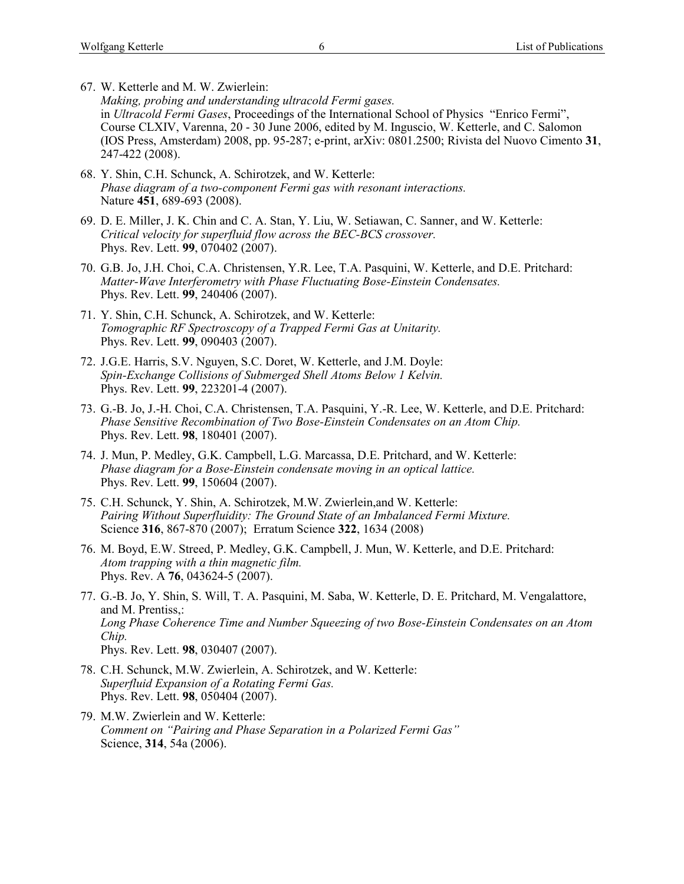- 67. W. Ketterle and M. W. Zwierlein: *Making, probing and understanding ultracold Fermi gases.* in *Ultracold Fermi Gases*, Proceedings of the International School of Physics "Enrico Fermi", Course CLXIV, Varenna, 20 - 30 June 2006, edited by M. Inguscio, W. Ketterle, and C. Salomon (IOS Press, Amsterdam) 2008, pp. 95-287; e-print, arXiv: 0801.2500; Rivista del Nuovo Cimento **31**, 247-422 (2008).
- 68. Y. Shin, C.H. Schunck, A. Schirotzek, and W. Ketterle: *Phase diagram of a two-component Fermi gas with resonant interactions.* Nature **451**, 689-693 (2008).
- 69. D. E. Miller, J. K. Chin and C. A. Stan, Y. Liu, W. Setiawan, C. Sanner, and W. Ketterle: *Critical velocity for superfluid flow across the BEC-BCS crossover.* Phys. Rev. Lett. **99**, 070402 (2007).
- 70. G.B. Jo, J.H. Choi, C.A. Christensen, Y.R. Lee, T.A. Pasquini, W. Ketterle, and D.E. Pritchard: *Matter-Wave Interferometry with Phase Fluctuating Bose-Einstein Condensates.* Phys. Rev. Lett. **99**, 240406 (2007).
- 71. Y. Shin, C.H. Schunck, A. Schirotzek, and W. Ketterle: *Tomographic RF Spectroscopy of a Trapped Fermi Gas at Unitarity.* Phys. Rev. Lett. **99**, 090403 (2007).
- 72. J.G.E. Harris, S.V. Nguyen, S.C. Doret, W. Ketterle, and J.M. Doyle: *Spin-Exchange Collisions of Submerged Shell Atoms Below 1 Kelvin.* Phys. Rev. Lett. **99**, 223201-4 (2007).
- 73. G.-B. Jo, J.-H. Choi, C.A. Christensen, T.A. Pasquini, Y.-R. Lee, W. Ketterle, and D.E. Pritchard: *Phase Sensitive Recombination of Two Bose-Einstein Condensates on an Atom Chip.* Phys. Rev. Lett. **98**, 180401 (2007).
- 74. J. Mun, P. Medley, G.K. Campbell, L.G. Marcassa, D.E. Pritchard, and W. Ketterle: *Phase diagram for a Bose-Einstein condensate moving in an optical lattice.* Phys. Rev. Lett. **99**, 150604 (2007).
- 75. C.H. Schunck, Y. Shin, A. Schirotzek, M.W. Zwierlein,and W. Ketterle: *Pairing Without Superfluidity: The Ground State of an Imbalanced Fermi Mixture.* Science **316**, 867-870 (2007); Erratum Science **322**, 1634 (2008)
- 76. M. Boyd, E.W. Streed, P. Medley, G.K. Campbell, J. Mun, W. Ketterle, and D.E. Pritchard: *Atom trapping with a thin magnetic film.* Phys. Rev. A **76**, 043624-5 (2007).
- 77. G.-B. Jo, Y. Shin, S. Will, T. A. Pasquini, M. Saba, W. Ketterle, D. E. Pritchard, M. Vengalattore, and M. Prentiss,: *Long Phase Coherence Time and Number Squeezing of two Bose-Einstein Condensates on an Atom Chip.* Phys. Rev. Lett. **98**, 030407 (2007).
- 78. C.H. Schunck, M.W. Zwierlein, A. Schirotzek, and W. Ketterle: *Superfluid Expansion of a Rotating Fermi Gas.* Phys. Rev. Lett. **98**, 050404 (2007).
- 79. M.W. Zwierlein and W. Ketterle: *Comment on "Pairing and Phase Separation in a Polarized Fermi Gas"* Science, **314**, 54a (2006).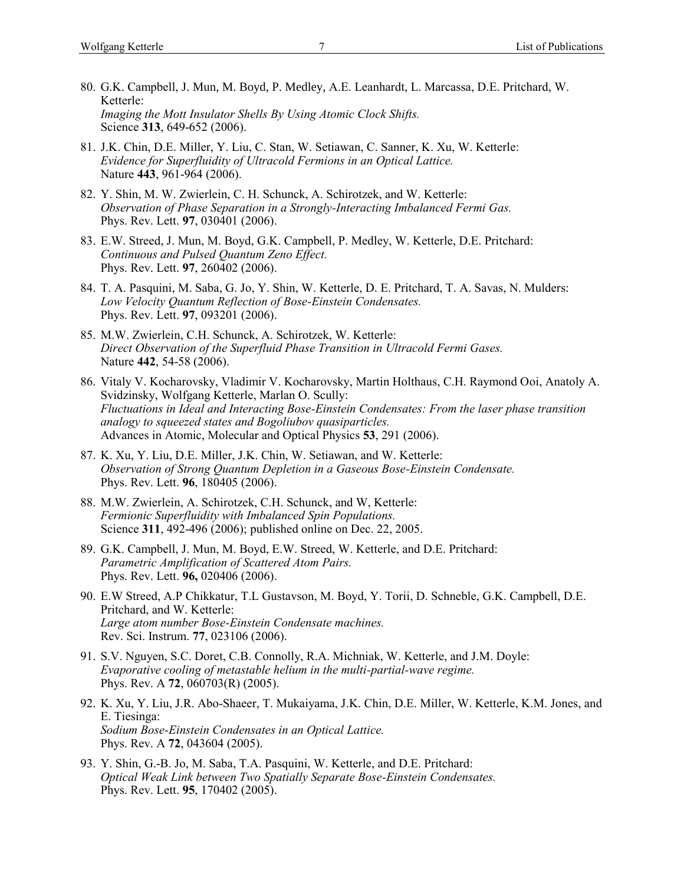- 80. G.K. Campbell, J. Mun, M. Boyd, P. Medley, A.E. Leanhardt, L. Marcassa, D.E. Pritchard, W. Ketterle: *Imaging the Mott Insulator Shells By Using Atomic Clock Shifts.* Science **313**, 649-652 (2006).
- 81. J.K. Chin, D.E. Miller, Y. Liu, C. Stan, W. Setiawan, C. Sanner, K. Xu, W. Ketterle: *Evidence for Superfluidity of Ultracold Fermions in an Optical Lattice.* Nature **443**, 961-964 (2006).
- 82. Y. Shin, M. W. Zwierlein, C. H. Schunck, A. Schirotzek, and W. Ketterle: *Observation of Phase Separation in a Strongly-Interacting Imbalanced Fermi Gas.* Phys. Rev. Lett. **97**, 030401 (2006).
- 83. E.W. Streed, J. Mun, M. Boyd, G.K. Campbell, P. Medley, W. Ketterle, D.E. Pritchard: *Continuous and Pulsed Quantum Zeno Effect.* Phys. Rev. Lett. **97**, 260402 (2006).
- 84. T. A. Pasquini, M. Saba, G. Jo, Y. Shin, W. Ketterle, D. E. Pritchard, T. A. Savas, N. Mulders: *Low Velocity Quantum Reflection of Bose-Einstein Condensates.* Phys. Rev. Lett. **97**, 093201 (2006).
- 85. M.W. Zwierlein, C.H. Schunck, A. Schirotzek, W. Ketterle: *Direct Observation of the Superfluid Phase Transition in Ultracold Fermi Gases.* Nature **442**, 54-58 (2006).
- 86. Vitaly V. Kocharovsky, Vladimir V. Kocharovsky, Martin Holthaus, C.H. Raymond Ooi, Anatoly A. Svidzinsky, Wolfgang Ketterle, Marlan O. Scully: *Fluctuations in Ideal and Interacting Bose-Einstein Condensates: From the laser phase transition analogy to squeezed states and Bogoliubov quasiparticles.* Advances in Atomic, Molecular and Optical Physics **53**, 291 (2006).
- 87. K. Xu, Y. Liu, D.E. Miller, J.K. Chin, W. Setiawan, and W. Ketterle: *Observation of Strong Quantum Depletion in a Gaseous Bose-Einstein Condensate.* Phys. Rev. Lett. **96**, 180405 (2006).
- 88. M.W. Zwierlein, A. Schirotzek, C.H. Schunck, and W, Ketterle: *Fermionic Superfluidity with Imbalanced Spin Populations.* Science **311**, 492-496 (2006); published online on Dec. 22, 2005.
- 89. G.K. Campbell, J. Mun, M. Boyd, E.W. Streed, W. Ketterle, and D.E. Pritchard: *Parametric Amplification of Scattered Atom Pairs.* Phys. Rev. Lett. **96,** 020406 (2006).
- 90. E.W Streed, A.P Chikkatur, T.L Gustavson, M. Boyd, Y. Torii, D. Schneble, G.K. Campbell, D.E. Pritchard, and W. Ketterle: *Large atom number Bose-Einstein Condensate machines.* Rev. Sci. Instrum. **77**, 023106 (2006).
- 91. S.V. Nguyen, S.C. Doret, C.B. Connolly, R.A. Michniak, W. Ketterle, and J.M. Doyle: *Evaporative cooling of metastable helium in the multi-partial-wave regime.* Phys. Rev. A **72**, 060703(R) (2005).
- 92. K. Xu, Y. Liu, J.R. Abo-Shaeer, T. Mukaiyama, J.K. Chin, D.E. Miller, W. Ketterle, K.M. Jones, and E. Tiesinga: *Sodium Bose-Einstein Condensates in an Optical Lattice.* Phys. Rev. A **72**, 043604 (2005).
- 93. [Y. Shin,](http://xxx.lanl.gov/find/cond-mat/1/au:+Shin_Y/0/1/0/all/0/1) [G.-B. Jo,](http://xxx.lanl.gov/find/cond-mat/1/au:+Jo_G/0/1/0/all/0/1) [M. Saba,](http://xxx.lanl.gov/find/cond-mat/1/au:+Saba_M/0/1/0/all/0/1) [T.A. Pasquini,](http://xxx.lanl.gov/find/cond-mat/1/au:+Pasquini_T/0/1/0/all/0/1) [W. Ketterle,](http://xxx.lanl.gov/find/cond-mat/1/au:+Ketterle_W/0/1/0/all/0/1) and [D.E. Pritchard:](http://xxx.lanl.gov/find/cond-mat/1/au:+Pritchard_D/0/1/0/all/0/1) *Optical Weak Link between Two Spatially Separate Bose-Einstein Condensates.* Phys. Rev. Lett. **95**, 170402 (2005).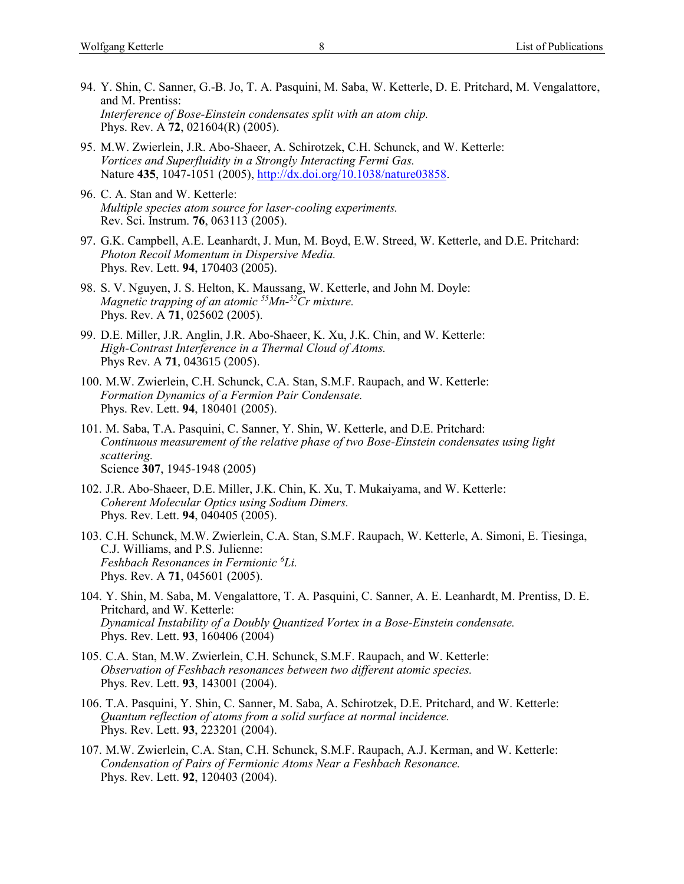- 94. Y. Shin, C. Sanner, G.-B. Jo, T. A. Pasquini, M. Saba, W. Ketterle, D. E. Pritchard, M. Vengalattore, and M. Prentiss: *Interference of Bose-Einstein condensates split with an atom chip.* Phys. Rev. A **72**, 021604(R) (2005).
- 95. M.W. Zwierlein, J.R. Abo-Shaeer, A. Schirotzek, C.H. Schunck, and W. Ketterle: *Vortices and Superfluidity in a Strongly Interacting Fermi Gas.* Nature **435**, 1047-1051 (2005), [http://dx.doi.org/10.1038/nature03858.](http://dx.doi.org/10.1038/nature03858)
- 96. C. A. Stan and W. Ketterle: *Multiple species atom source for laser-cooling experiments.* Rev. Sci. Instrum. **76**, 063113 (2005).
- 97. G.K. Campbell, A.E. Leanhardt, J. Mun, M. Boyd, E.W. Streed, W. Ketterle, and D.E. Pritchard: *Photon Recoil Momentum in Dispersive Media.* Phys. Rev. Lett. **94**, 170403 (2005).
- 98. S. V. Nguyen, J. S. Helton, K. Maussang, W. Ketterle, and John M. Doyle: *Magnetic trapping of an atomic 55Mn-<sup>52</sup>Cr mixture.* Phys. Rev. A **71**, 025602 (2005).
- 99. D.E. Miller, J.R. Anglin, J.R. Abo-Shaeer, K. Xu, J.K. Chin, and W. Ketterle: *High-Contrast Interference in a Thermal Cloud of Atoms.* Phys Rev. A **71**, 043615 (2005).
- 100. M.W. Zwierlein, C.H. Schunck, C.A. Stan, S.M.F. Raupach, and W. Ketterle: *Formation Dynamics of a Fermion Pair Condensate.* Phys. Rev. Lett. **94**, 180401 (2005).
- 101. M. Saba, T.A. Pasquini, C. Sanner, Y. Shin, W. Ketterle, and D.E. Pritchard: *Continuous measurement of the relative phase of two Bose-Einstein condensates using light scattering.* Science **307**, 1945-1948 (2005)
- 102. J.R. Abo-Shaeer, D.E. Miller, J.K. Chin, K. Xu, T. Mukaiyama, and W. Ketterle: *Coherent Molecular Optics using Sodium Dimers.* Phys. Rev. Lett. **94**, 040405 (2005).
- 103. C.H. Schunck, M.W. Zwierlein, C.A. Stan, S.M.F. Raupach, W. Ketterle, A. Simoni, E. Tiesinga, C.J. Williams, and P.S. Julienne: *Feshbach Resonances in Fermionic <sup>6</sup>Li.* Phys. Rev. A **71**, 045601 (2005).
- 104. Y. Shin, M. Saba, M. Vengalattore, T. A. Pasquini, C. Sanner, A. E. Leanhardt, M. Prentiss, D. E. Pritchard, and W. Ketterle: *Dynamical Instability of a Doubly Quantized Vortex in a Bose-Einstein condensate.* Phys. Rev. Lett. **93**, 160406 (2004)
- 105. C.A. Stan, M.W. Zwierlein, C.H. Schunck, S.M.F. Raupach, and W. Ketterle: *Observation of Feshbach resonances between two different atomic species.* Phys. Rev. Lett. **93**, 143001 (2004).
- 106. T.A. Pasquini, Y. Shin, C. Sanner, M. Saba, A. Schirotzek, D.E. Pritchard, and W. Ketterle: *Quantum reflection of atoms from a solid surface at normal incidence.* Phys. Rev. Lett. **93**, 223201 (2004).
- 107. M.W. Zwierlein, C.A. Stan, C.H. Schunck, S.M.F. Raupach, A.J. Kerman, and W. Ketterle: *Condensation of Pairs of Fermionic Atoms Near a Feshbach Resonance.* Phys. Rev. Lett. **92**, 120403 (2004).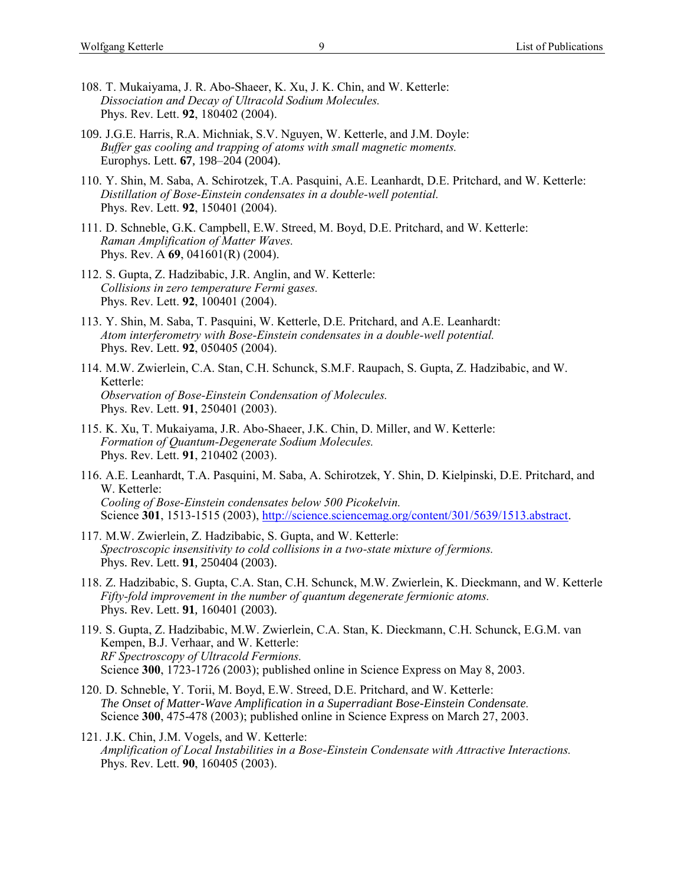- 108. T. Mukaiyama, J. R. Abo-Shaeer, K. Xu, J. K. Chin, and W. Ketterle: *Dissociation and Decay of Ultracold Sodium Molecules.* Phys. Rev. Lett. **92**, 180402 (2004).
- 109. J.G.E. Harris, R.A. Michniak, S.V. Nguyen, W. Ketterle, and J.M. Doyle: *Buffer gas cooling and trapping of atoms with small magnetic moments.* Europhys. Lett. **67**, 198–204 (2004).
- 110. Y. Shin, M. Saba, A. Schirotzek, T.A. Pasquini, A.E. Leanhardt, D.E. Pritchard, and W. Ketterle: *Distillation of Bose-Einstein condensates in a double-well potential.* Phys. Rev. Lett. **92**, 150401 (2004).
- 111. D. Schneble, G.K. Campbell, E.W. Streed, M. Boyd, D.E. Pritchard, and W. Ketterle: *Raman Amplification of Matter Waves.* Phys. Rev. A **69**, 041601(R) (2004).
- 112. S. Gupta, Z. Hadzibabic, J.R. Anglin, and W. Ketterle: *Collisions in zero temperature Fermi gases.* Phys. Rev. Lett. **92**, 100401 (2004).
- 113. Y. Shin, M. Saba, T. Pasquini, W. Ketterle, D.E. Pritchard, and A.E. Leanhardt: *Atom interferometry with Bose-Einstein condensates in a double-well potential.* Phys. Rev. Lett. **92**, 050405 (2004).
- 114. M.W. Zwierlein, C.A. Stan, C.H. Schunck, S.M.F. Raupach, S. Gupta, Z. Hadzibabic, and W. Ketterle: *Observation of Bose-Einstein Condensation of Molecules.* Phys. Rev. Lett. **91**, 250401 (2003).
- 115. K. Xu, T. Mukaiyama, J.R. Abo-Shaeer, J.K. Chin, D. Miller, and W. Ketterle: *Formation of Quantum-Degenerate Sodium Molecules.* Phys. Rev. Lett. **91**, 210402 (2003).
- 116. A.E. Leanhardt, T.A. Pasquini, M. Saba, A. Schirotzek, Y. Shin, D. Kielpinski, D.E. Pritchard, and W. Ketterle: *Cooling of Bose-Einstein condensates below 500 Picokelvin.* Science **301**, 1513-1515 (2003), [http://science.sciencemag.org/content/301/5639/1513.abstract.](http://science.sciencemag.org/content/301/5639/1513.abstract)
- 117. M.W. Zwierlein, Z. Hadzibabic, S. Gupta, and W. Ketterle: *Spectroscopic insensitivity to cold collisions in a two-state mixture of fermions.* Phys. Rev. Lett. **91**, 250404 (2003).
- 118. Z. Hadzibabic, S. Gupta, C.A. Stan, C.H. Schunck, M.W. Zwierlein, K. Dieckmann, and W. Ketterle *Fifty-fold improvement in the number of quantum degenerate fermionic atoms.* Phys. Rev. Lett. **91**, 160401 (2003).
- 119. S. Gupta, Z. Hadzibabic, M.W. Zwierlein, C.A. Stan, K. Dieckmann, C.H. Schunck, E.G.M. van Kempen, B.J. Verhaar, and W. Ketterle: *RF Spectroscopy of Ultracold Fermions.* Science **300**, 1723-1726 (2003); published online in Science Express on May 8, 2003.
- 120. D. Schneble, Y. Torii, M. Boyd, E.W. Streed, D.E. Pritchard, and W. Ketterle: *The Onset of Matter-Wave Amplification in a Superradiant Bose-Einstein Condensate.* Science **300**, 475-478 (2003); published online in Science Express on March 27, 2003.
- 121. J.K. Chin, J.M. Vogels, and W. Ketterle: *Amplification of Local Instabilities in a Bose-Einstein Condensate with Attractive Interactions.* Phys. Rev. Lett. **90**, 160405 (2003).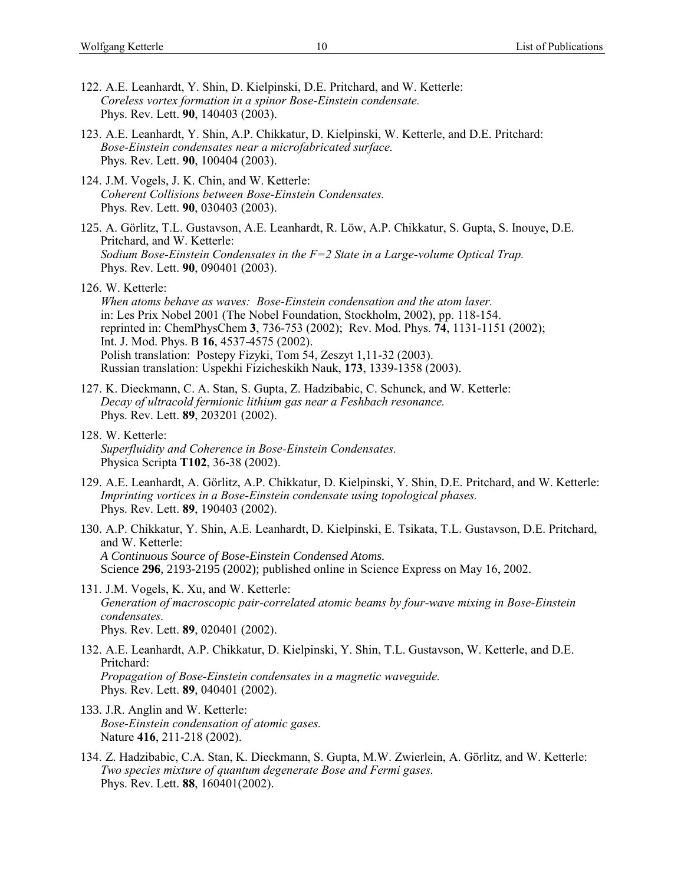- 122. A.E. Leanhardt, Y. Shin, D. Kielpinski, D.E. Pritchard, and W. Ketterle: *Coreless vortex formation in a spinor Bose-Einstein condensate.* Phys. Rev. Lett. **90**, 140403 (2003).
- 123. A.E. Leanhardt, Y. Shin, A.P. Chikkatur, D. Kielpinski, W. Ketterle, and D.E. Pritchard: *Bose-Einstein condensates near a microfabricated surface.* Phys. Rev. Lett. **90**, 100404 (2003).
- 124. J.M. Vogels, J. K. Chin, and W. Ketterle: *Coherent Collisions between Bose-Einstein Condensates.* Phys. Rev. Lett. **90**, 030403 (2003).
- 125. A. Görlitz, T.L. Gustavson, A.E. Leanhardt, R. Löw, A.P. Chikkatur, S. Gupta, S. Inouye, D.E. Pritchard, and W. Ketterle: *Sodium Bose-Einstein Condensates in the F=2 State in a Large-volume Optical Trap.* Phys. Rev. Lett. **90**, 090401 (2003).
- 126. W. Ketterle:

*When atoms behave as waves: Bose-Einstein condensation and the atom laser.* in: Les Prix Nobel 2001 (The Nobel Foundation, Stockholm, 2002), pp. 118-154. reprinted in: ChemPhysChem **3**, 736-753 (2002); Rev. Mod. Phys. **74**, 1131-1151 (2002); Int. J. Mod. Phys. B **16**, 4537-4575 (2002). Polish translation: Postepy Fizyki, Tom 54, Zeszyt 1,11-32 (2003). Russian translation: Uspekhi Fizicheskikh Nauk, **173**, 1339-1358 (2003).

- 127. K. Dieckmann, C. A. Stan, S. Gupta, Z. Hadzibabic, C. Schunck, and W. Ketterle: *Decay of ultracold fermionic lithium gas near a Feshbach resonance.* Phys. Rev. Lett. **89**, 203201 (2002).
- 128. W. Ketterle: *Superfluidity and Coherence in Bose-Einstein Condensates.* Physica Scripta **T102**, 36-38 (2002).
- 129. A.E. Leanhardt, A. Görlitz, A.P. Chikkatur, D. Kielpinski, Y. Shin, D.E. Pritchard, and W. Ketterle: *Imprinting vortices in a Bose-Einstein condensate using topological phases.* Phys. Rev. Lett. **89**, 190403 (2002).
- 130. A.P. Chikkatur, Y. Shin, A.E. Leanhardt, D. Kielpinski, E. Tsikata, T.L. Gustavson, D.E. Pritchard, and W. Ketterle: *A Continuous Source of Bose-Einstein Condensed Atoms.* Science **296**, 2193-2195 (2002); published online in Science Express on May 16, 2002.
- 131. J.M. Vogels, K. Xu, and W. Ketterle: *Generation of macroscopic pair-correlated atomic beams by four-wave mixing in Bose-Einstein condensates.* Phys. Rev. Lett. **89**, 020401 (2002).
- 132. A.E. Leanhardt, A.P. Chikkatur, D. Kielpinski, Y. Shin, T.L. Gustavson, W. Ketterle, and D.E. Pritchard: *Propagation of Bose-Einstein condensates in a magnetic waveguide.* Phys. Rev. Lett. **89**, 040401 (2002).
- 133. J.R. Anglin and W. Ketterle: *Bose-Einstein condensation of atomic gases.* Nature **416**, 211-218 (2002).
- 134. Z. Hadzibabic, C.A. Stan, K. Dieckmann, S. Gupta, M.W. Zwierlein, A. Görlitz, and W. Ketterle: *Two species mixture of quantum degenerate Bose and Fermi gases.* Phys. Rev. Lett. **88**, 160401(2002).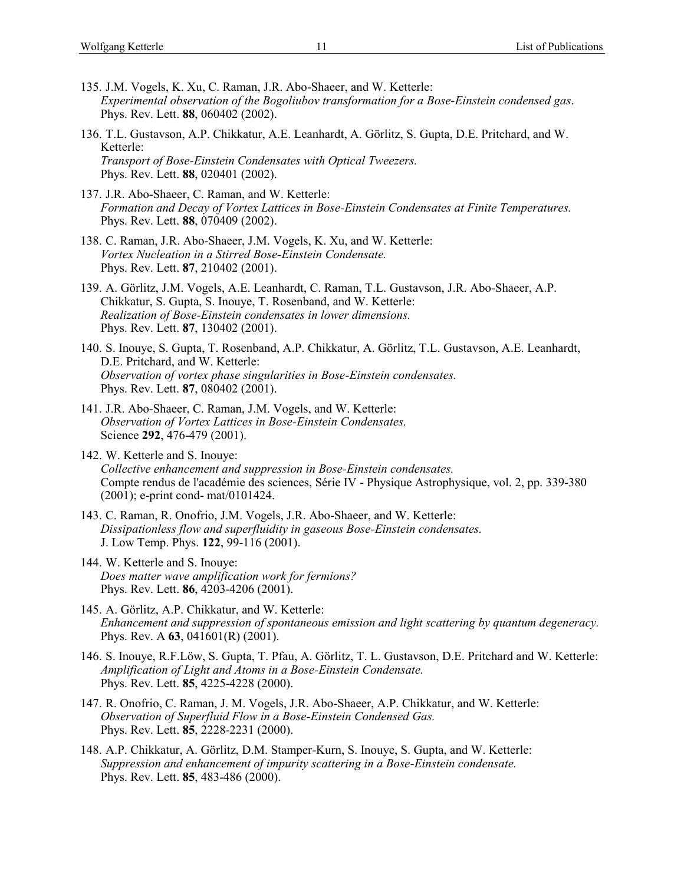- 135. J.M. Vogels, K. Xu, C. Raman, J.R. Abo-Shaeer, and W. Ketterle: *Experimental observation of the Bogoliubov transformation for a Bose-Einstein condensed gas*. Phys. Rev. Lett. **88**, 060402 (2002).
- 136. T.L. Gustavson, A.P. Chikkatur, A.E. Leanhardt, A. Görlitz, S. Gupta, D.E. Pritchard, and W. Ketterle: *Transport of Bose-Einstein Condensates with Optical Tweezers.* Phys. Rev. Lett. **88**, 020401 (2002).
- 137. J.R. Abo-Shaeer, C. Raman, and W. Ketterle: *Formation and Decay of Vortex Lattices in Bose-Einstein Condensates at Finite Temperatures.* Phys. Rev. Lett. **88**, 070409 (2002).
- 138. C. Raman, J.R. Abo-Shaeer, J.M. Vogels, K. Xu, and W. Ketterle: *Vortex Nucleation in a Stirred Bose-Einstein Condensate.* Phys. Rev. Lett. **87**, 210402 (2001).
- 139. A. Görlitz, J.M. Vogels, A.E. Leanhardt, C. Raman, T.L. Gustavson, J.R. Abo-Shaeer, A.P. Chikkatur, S. Gupta, S. Inouye, T. Rosenband, and W. Ketterle: *Realization of Bose-Einstein condensates in lower dimensions.* Phys. Rev. Lett. **87**, 130402 (2001).
- 140. S. Inouye, S. Gupta, T. Rosenband, A.P. Chikkatur, A. Görlitz, T.L. Gustavson, A.E. Leanhardt, D.E. Pritchard, and W. Ketterle: *Observation of vortex phase singularities in Bose-Einstein condensates.* Phys. Rev. Lett. **87**, 080402 (2001).
- 141. J.R. Abo-Shaeer, C. Raman, J.M. Vogels, and W. Ketterle: *Observation of Vortex Lattices in Bose-Einstein Condensates.* Science **292**, 476-479 (2001).
- 142. W. Ketterle and S. Inouye: *Collective enhancement and suppression in Bose-Einstein condensates.* Compte rendus de l'académie des sciences, Série IV - Physique Astrophysique, vol. 2, pp. 339-380 (2001); e-print cond- mat/0101424.
- 143. C. Raman, R. Onofrio, J.M. Vogels, J.R. Abo-Shaeer, and W. Ketterle: *Dissipationless flow and superfluidity in gaseous Bose-Einstein condensates.* J. Low Temp. Phys. **122**, 99-116 (2001).
- 144. W. Ketterle and S. Inouye: *Does matter wave amplification work for fermions?* Phys. Rev. Lett. **86**, 4203-4206 (2001).
- 145. A. Görlitz, A.P. Chikkatur, and W. Ketterle: *Enhancement and suppression of spontaneous emission and light scattering by quantum degeneracy.* Phys. Rev. A **63**, 041601(R) (2001).
- 146. S. Inouye, R.F.Löw, S. Gupta, T. Pfau, A. Görlitz, T. L. Gustavson, D.E. Pritchard and W. Ketterle: *Amplification of Light and Atoms in a Bose-Einstein Condensate.* Phys. Rev. Lett. **85**, 4225-4228 (2000).
- 147. R. Onofrio, C. Raman, J. M. Vogels, J.R. Abo-Shaeer, A.P. Chikkatur, and W. Ketterle: *Observation of Superfluid Flow in a Bose-Einstein Condensed Gas.* Phys. Rev. Lett. **85**, 2228-2231 (2000).
- 148. A.P. Chikkatur, A. Görlitz, D.M. Stamper-Kurn, S. Inouye, S. Gupta, and W. Ketterle: *Suppression and enhancement of impurity scattering in a Bose-Einstein condensate.* Phys. Rev. Lett. **85**, 483-486 (2000).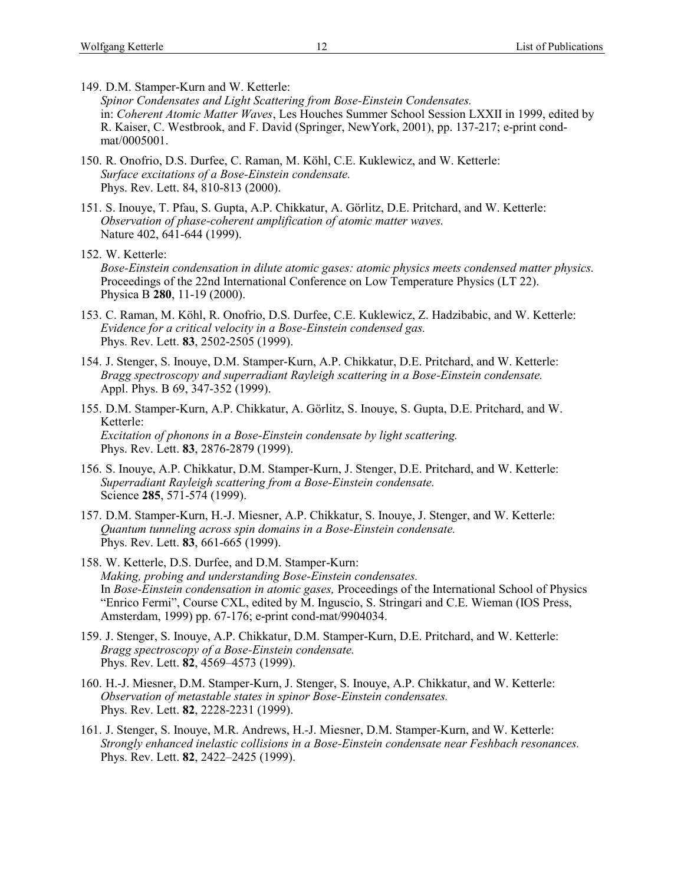149. D.M. Stamper-Kurn and W. Ketterle:

- *Spinor Condensates and Light Scattering from Bose-Einstein Condensates.* in: *Coherent Atomic Matter Waves*, Les Houches Summer School Session LXXII in 1999, edited by R. Kaiser, C. Westbrook, and F. David (Springer, NewYork, 2001), pp. 137-217; e-print condmat/0005001.
- 150. R. Onofrio, D.S. Durfee, C. Raman, M. Köhl, C.E. Kuklewicz, and W. Ketterle: *Surface excitations of a Bose-Einstein condensate.* Phys. Rev. Lett. 84, 810-813 (2000).
- 151. S. Inouye, T. Pfau, S. Gupta, A.P. Chikkatur, A. Görlitz, D.E. Pritchard, and W. Ketterle: *Observation of phase-coherent amplification of atomic matter waves.* Nature 402, 641-644 (1999).
- 152. W. Ketterle:

*Bose-Einstein condensation in dilute atomic gases: atomic physics meets condensed matter physics.* Proceedings of the 22nd International Conference on Low Temperature Physics (LT 22). Physica B **280**, 11-19 (2000).

- 153. C. Raman, M. Köhl, R. Onofrio, D.S. Durfee, C.E. Kuklewicz, Z. Hadzibabic, and W. Ketterle: *Evidence for a critical velocity in a Bose-Einstein condensed gas.* Phys. Rev. Lett. **83**, 2502-2505 (1999).
- 154. J. Stenger, S. Inouye, D.M. Stamper-Kurn, A.P. Chikkatur, D.E. Pritchard, and W. Ketterle: *Bragg spectroscopy and superradiant Rayleigh scattering in a Bose-Einstein condensate.* Appl. Phys. B 69, 347-352 (1999).
- 155. D.M. Stamper-Kurn, A.P. Chikkatur, A. Görlitz, S. Inouye, S. Gupta, D.E. Pritchard, and W. Ketterle: *Excitation of phonons in a Bose-Einstein condensate by light scattering.* Phys. Rev. Lett. **83**, 2876-2879 (1999).
- 156. S. Inouye, A.P. Chikkatur, D.M. Stamper-Kurn, J. Stenger, D.E. Pritchard, and W. Ketterle: *Superradiant Rayleigh scattering from a Bose-Einstein condensate.* Science **285**, 571-574 (1999).
- 157. D.M. Stamper-Kurn, H.-J. Miesner, A.P. Chikkatur, S. Inouye, J. Stenger, and W. Ketterle: *Quantum tunneling across spin domains in a Bose-Einstein condensate.* Phys. Rev. Lett. **83**, 661-665 (1999).
- 158. W. Ketterle, D.S. Durfee, and D.M. Stamper-Kurn: *Making, probing and understanding Bose-Einstein condensates.* In *Bose-Einstein condensation in atomic gases,* Proceedings of the International School of Physics "Enrico Fermi", Course CXL, edited by M. Inguscio, S. Stringari and C.E. Wieman (IOS Press, Amsterdam, 1999) pp. 67-176; e-print cond-mat/9904034.
- 159. J. Stenger, S. Inouye, A.P. Chikkatur, D.M. Stamper-Kurn, D.E. Pritchard, and W. Ketterle: *Bragg spectroscopy of a Bose-Einstein condensate.* Phys. Rev. Lett. **82**, 4569–4573 (1999).
- 160. H.-J. Miesner, D.M. Stamper-Kurn, J. Stenger, S. Inouye, A.P. Chikkatur, and W. Ketterle: *Observation of metastable states in spinor Bose-Einstein condensates.* Phys. Rev. Lett. **82**, 2228-2231 (1999).
- 161. J. Stenger, S. Inouye, M.R. Andrews, H.-J. Miesner, D.M. Stamper-Kurn, and W. Ketterle: *Strongly enhanced inelastic collisions in a Bose-Einstein condensate near Feshbach resonances.* Phys. Rev. Lett. **82**, 2422–2425 (1999).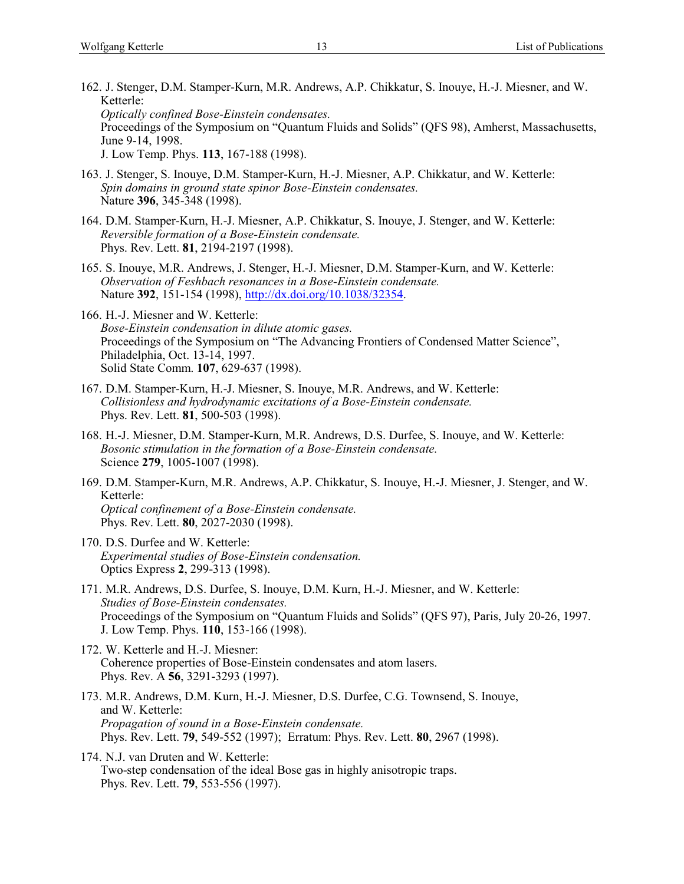- 162. J. Stenger, D.M. Stamper-Kurn, M.R. Andrews, A.P. Chikkatur, S. Inouye, H.-J. Miesner, and W. Ketterle: *Optically confined Bose-Einstein condensates.* Proceedings of the Symposium on "Quantum Fluids and Solids" (QFS 98), Amherst, Massachusetts, June 9-14, 1998.
	- J. Low Temp. Phys. **113**, 167-188 (1998).
- 163. J. Stenger, S. Inouye, D.M. Stamper-Kurn, H.-J. Miesner, A.P. Chikkatur, and W. Ketterle: *Spin domains in ground state spinor Bose-Einstein condensates.* Nature **396**, 345-348 (1998).
- 164. D.M. Stamper-Kurn, H.-J. Miesner, A.P. Chikkatur, S. Inouye, J. Stenger, and W. Ketterle: *Reversible formation of a Bose-Einstein condensate.* Phys. Rev. Lett. **81**, 2194-2197 (1998).
- 165. S. Inouye, M.R. Andrews, J. Stenger, H.-J. Miesner, D.M. Stamper-Kurn, and W. Ketterle: *Observation of Feshbach resonances in a Bose-Einstein condensate.* Nature **392**, 151-154 (1998), [http://dx.doi.org/10.1038/32354.](http://dx.doi.org/10.1038/32354)
- 166. H.-J. Miesner and W. Ketterle: *Bose-Einstein condensation in dilute atomic gases.* Proceedings of the Symposium on "The Advancing Frontiers of Condensed Matter Science", Philadelphia, Oct. 13-14, 1997. Solid State Comm. **107**, 629-637 (1998).
- 167. D.M. Stamper-Kurn, H.-J. Miesner, S. Inouye, M.R. Andrews, and W. Ketterle: *Collisionless and hydrodynamic excitations of a Bose-Einstein condensate.* Phys. Rev. Lett. **81**, 500-503 (1998).
- 168. H.-J. Miesner, D.M. Stamper-Kurn, M.R. Andrews, D.S. Durfee, S. Inouye, and W. Ketterle: *Bosonic stimulation in the formation of a Bose-Einstein condensate.* Science **279**, 1005-1007 (1998).
- 169. D.M. Stamper-Kurn, M.R. Andrews, A.P. Chikkatur, S. Inouye, H.-J. Miesner, J. Stenger, and W. Ketterle: *Optical confinement of a Bose-Einstein condensate.* Phys. Rev. Lett. **80**, 2027-2030 (1998).
- 170. D.S. Durfee and W. Ketterle: *Experimental studies of Bose-Einstein condensation.* Optics Express **2**, 299-313 (1998).
- 171. M.R. Andrews, D.S. Durfee, S. Inouye, D.M. Kurn, H.-J. Miesner, and W. Ketterle: *Studies of Bose-Einstein condensates.* Proceedings of the Symposium on "Quantum Fluids and Solids" (QFS 97), Paris, July 20-26, 1997. J. Low Temp. Phys. **110**, 153-166 (1998).
- 172. W. Ketterle and H.-J. Miesner: Coherence properties of Bose-Einstein condensates and atom lasers. Phys. Rev. A **56**, 3291-3293 (1997).
- 173. M.R. Andrews, D.M. Kurn, H.-J. Miesner, D.S. Durfee, C.G. Townsend, S. Inouye, and W. Ketterle: *Propagation of sound in a Bose-Einstein condensate.* Phys. Rev. Lett. **79**, 549-552 (1997); Erratum: Phys. Rev. Lett. **80**, 2967 (1998).
- 174. N.J. van Druten and W. Ketterle: Two-step condensation of the ideal Bose gas in highly anisotropic traps. Phys. Rev. Lett. **79**, 553-556 (1997).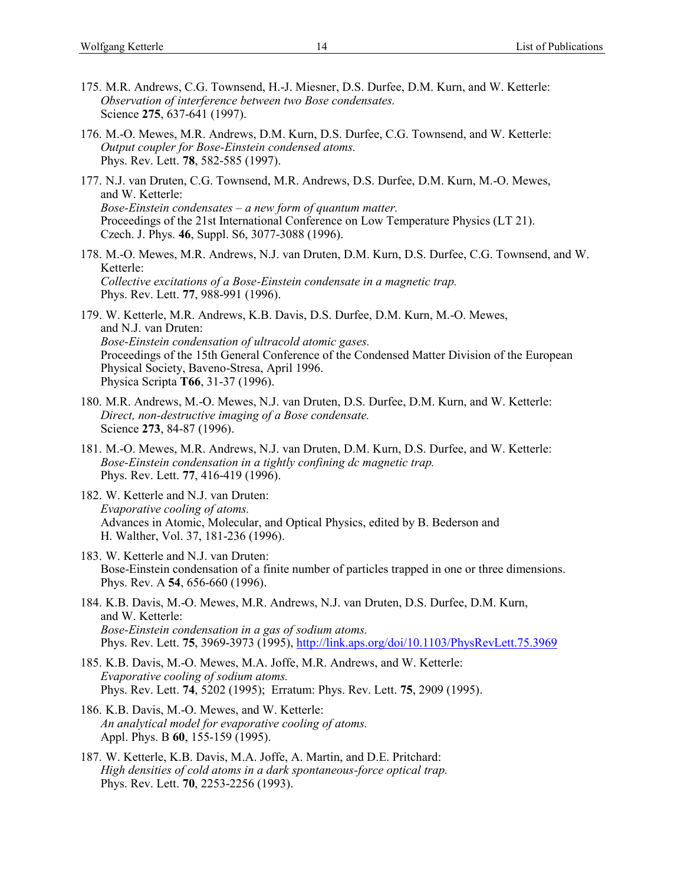- 175. M.R. Andrews, C.G. Townsend, H.-J. Miesner, D.S. Durfee, D.M. Kurn, and W. Ketterle: *Observation of interference between two Bose condensates.* Science **275**, 637-641 (1997).
- 176. M.-O. Mewes, M.R. Andrews, D.M. Kurn, D.S. Durfee, C.G. Townsend, and W. Ketterle: *Output coupler for Bose-Einstein condensed atoms.* Phys. Rev. Lett. **78**, 582-585 (1997).
- 177. N.J. van Druten, C.G. Townsend, M.R. Andrews, D.S. Durfee, D.M. Kurn, M.-O. Mewes, and W. Ketterle: *Bose-Einstein condensates – a new form of quantum matter.* Proceedings of the 21st International Conference on Low Temperature Physics (LT 21). Czech. J. Phys. **46**, Suppl. S6, 3077-3088 (1996).
- 178. M.-O. Mewes, M.R. Andrews, N.J. van Druten, D.M. Kurn, D.S. Durfee, C.G. Townsend, and W. Ketterle: *Collective excitations of a Bose-Einstein condensate in a magnetic trap.* Phys. Rev. Lett. **77**, 988-991 (1996).
- 179. W. Ketterle, M.R. Andrews, K.B. Davis, D.S. Durfee, D.M. Kurn, M.-O. Mewes, and N.J. van Druten: *Bose-Einstein condensation of ultracold atomic gases.* Proceedings of the 15th General Conference of the Condensed Matter Division of the European Physical Society, Baveno-Stresa, April 1996. Physica Scripta **T66**, 31-37 (1996).
- 180. M.R. Andrews, M.-O. Mewes, N.J. van Druten, D.S. Durfee, D.M. Kurn, and W. Ketterle: *Direct, non-destructive imaging of a Bose condensate.* Science **273**, 84-87 (1996).
- 181. M.-O. Mewes, M.R. Andrews, N.J. van Druten, D.M. Kurn, D.S. Durfee, and W. Ketterle: *Bose-Einstein condensation in a tightly confining dc magnetic trap.* Phys. Rev. Lett. **77**, 416-419 (1996).
- 182. W. Ketterle and N.J. van Druten: *Evaporative cooling of atoms.* Advances in Atomic, Molecular, and Optical Physics, edited by B. Bederson and H. Walther, Vol. 37, 181-236 (1996).
- 183. W. Ketterle and N.J. van Druten: Bose-Einstein condensation of a finite number of particles trapped in one or three dimensions. Phys. Rev. A **54**, 656-660 (1996).
- 184. K.B. Davis, M.-O. Mewes, M.R. Andrews, N.J. van Druten, D.S. Durfee, D.M. Kurn, and W. Ketterle: *Bose-Einstein condensation in a gas of sodium atoms.* Phys. Rev. Lett. **75**, 3969-3973 (1995),<http://link.aps.org/doi/10.1103/PhysRevLett.75.3969>
- 185. K.B. Davis, M.-O. Mewes, M.A. Joffe, M.R. Andrews, and W. Ketterle: *Evaporative cooling of sodium atoms.* Phys. Rev. Lett. **74**, 5202 (1995); Erratum: Phys. Rev. Lett. **75**, 2909 (1995).
- 186. K.B. Davis, M.-O. Mewes, and W. Ketterle: *An analytical model for evaporative cooling of atoms.* Appl. Phys. B **60**, 155-159 (1995).
- 187. W. Ketterle, K.B. Davis, M.A. Joffe, A. Martin, and D.E. Pritchard: *High densities of cold atoms in a dark spontaneous-force optical trap.* Phys. Rev. Lett. **70**, 2253-2256 (1993).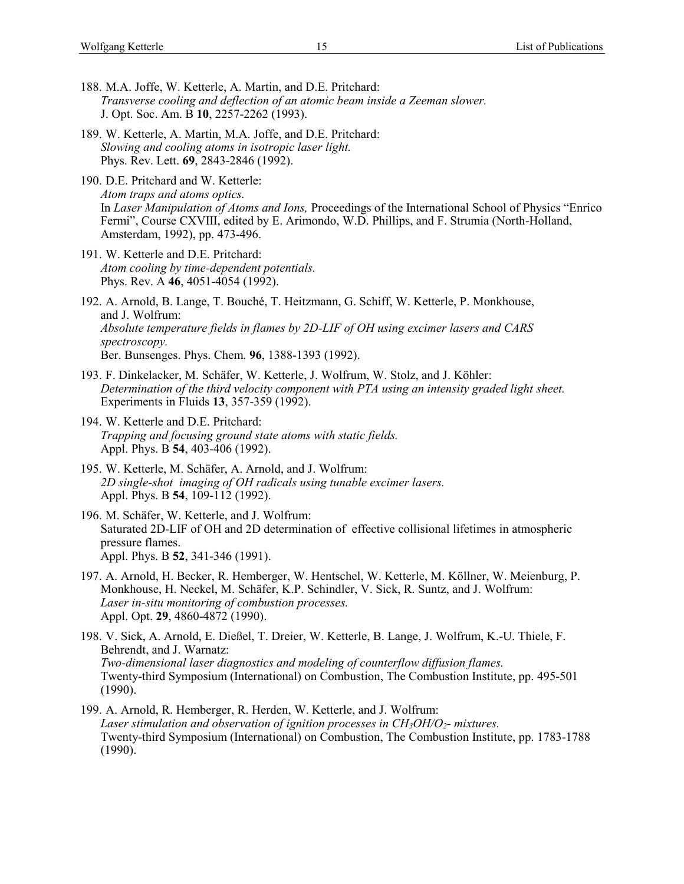- 188. M.A. Joffe, W. Ketterle, A. Martin, and D.E. Pritchard: *Transverse cooling and deflection of an atomic beam inside a Zeeman slower.* J. Opt. Soc. Am. B **10**, 2257-2262 (1993).
- 189. W. Ketterle, A. Martin, M.A. Joffe, and D.E. Pritchard: *Slowing and cooling atoms in isotropic laser light.* Phys. Rev. Lett. **69**, 2843-2846 (1992).
- 190. D.E. Pritchard and W. Ketterle: *Atom traps and atoms optics.* In *Laser Manipulation of Atoms and Ions,* Proceedings of the International School of Physics "Enrico Fermi", Course CXVIII, edited by E. Arimondo, W.D. Phillips, and F. Strumia (North-Holland, Amsterdam, 1992), pp. 473-496.
- 191. W. Ketterle and D.E. Pritchard: *Atom cooling by time-dependent potentials.* Phys. Rev. A **46**, 4051-4054 (1992).
- 192. A. Arnold, B. Lange, T. Bouché, T. Heitzmann, G. Schiff, W. Ketterle, P. Monkhouse, and J. Wolfrum: *Absolute temperature fields in flames by 2D-LIF of OH using excimer lasers and CARS spectroscopy.* Ber. Bunsenges. Phys. Chem. **96**, 1388-1393 (1992).
- 193. F. Dinkelacker, M. Schäfer, W. Ketterle, J. Wolfrum, W. Stolz, and J. Köhler: *Determination of the third velocity component with PTA using an intensity graded light sheet.* Experiments in Fluids **13**, 357-359 (1992).
- 194. W. Ketterle and D.E. Pritchard: *Trapping and focusing ground state atoms with static fields.* Appl. Phys. B **54**, 403-406 (1992).
- 195. W. Ketterle, M. Schäfer, A. Arnold, and J. Wolfrum: *2D single-shot imaging of OH radicals using tunable excimer lasers.* Appl. Phys. B **54**, 109-112 (1992).
- 196. M. Schäfer, W. Ketterle, and J. Wolfrum: Saturated 2D-LIF of OH and 2D determination of effective collisional lifetimes in atmospheric pressure flames. Appl. Phys. B **52**, 341-346 (1991).
- 197. A. Arnold, H. Becker, R. Hemberger, W. Hentschel, W. Ketterle, M. Köllner, W. Meienburg, P. Monkhouse, H. Neckel, M. Schäfer, K.P. Schindler, V. Sick, R. Suntz, and J. Wolfrum: *Laser in-situ monitoring of combustion processes.* Appl. Opt. **29**, 4860-4872 (1990).
- 198. V. Sick, A. Arnold, E. Dießel, T. Dreier, W. Ketterle, B. Lange, J. Wolfrum, K.-U. Thiele, F. Behrendt, and J. Warnatz: *Two-dimensional laser diagnostics and modeling of counterflow diffusion flames.* Twenty-third Symposium (International) on Combustion, The Combustion Institute, pp. 495-501 (1990).
- 199. A. Arnold, R. Hemberger, R. Herden, W. Ketterle, and J. Wolfrum: *Laser stimulation and observation of ignition processes in CH3OH/O2- mixtures.* Twenty-third Symposium (International) on Combustion, The Combustion Institute, pp. 1783-1788  $(1990).$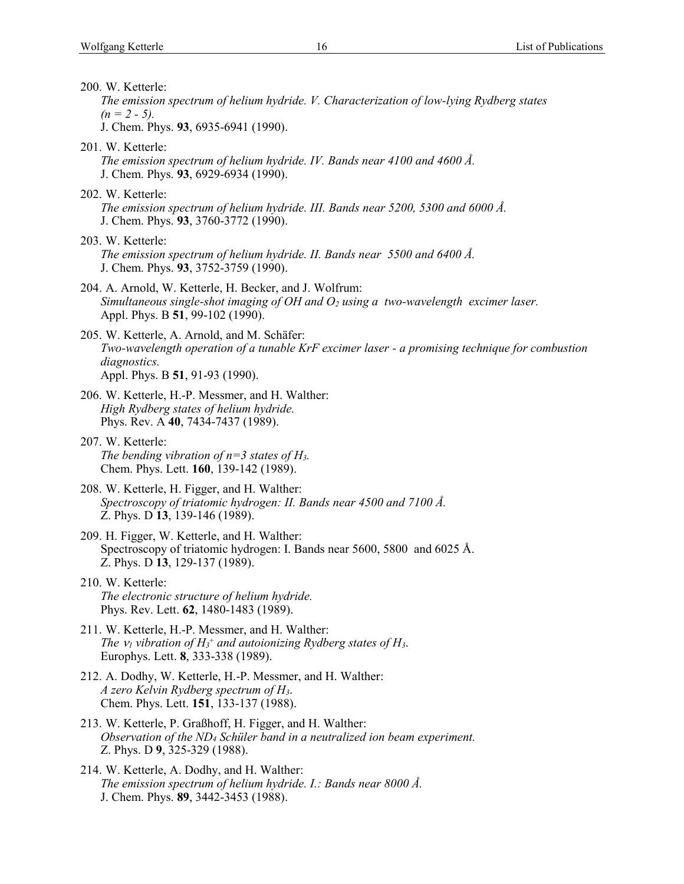200. W. Ketterle: *The emission spectrum of helium hydride. V. Characterization of low-lying Rydberg states*   $(n = 2 - 5)$ . J. Chem. Phys. **93**, 6935-6941 (1990). 201. W. Ketterle: *The emission spectrum of helium hydride. IV. Bands near 4100 and 4600 Å.* J. Chem. Phys. **93**, 6929-6934 (1990). 202. W. Ketterle: *The emission spectrum of helium hydride. III. Bands near 5200, 5300 and 6000 Å.* J. Chem. Phys. **93**, 3760-3772 (1990). 203. W. Ketterle: *The emission spectrum of helium hydride. II. Bands near 5500 and 6400 Å.* J. Chem. Phys. **93**, 3752-3759 (1990). 204. A. Arnold, W. Ketterle, H. Becker, and J. Wolfrum: *Simultaneous single-shot imaging of OH and O<sup>2</sup> using a two-wavelength excimer laser.* Appl. Phys. B **51**, 99-102 (1990). 205. W. Ketterle, A. Arnold, and M. Schäfer: *Two-wavelength operation of a tunable KrF excimer laser - a promising technique for combustion diagnostics.* Appl. Phys. B **51**, 91-93 (1990). 206. W. Ketterle, H.-P. Messmer, and H. Walther: *High Rydberg states of helium hydride.* Phys. Rev. A **40**, 7434-7437 (1989). 207. W. Ketterle: *The bending vibration of n=3 states of H3.* Chem. Phys. Lett. **160**, 139-142 (1989). 208. W. Ketterle, H. Figger, and H. Walther: *Spectroscopy of triatomic hydrogen: II. Bands near 4500 and 7100 Å.* Z. Phys. D **13**, 139-146 (1989). 209. H. Figger, W. Ketterle, and H. Walther: Spectroscopy of triatomic hydrogen: I. Bands near 5600, 5800 and 6025 Å. Z. Phys. D **13**, 129-137 (1989). 210. W. Ketterle: *The electronic structure of helium hydride.* Phys. Rev. Lett. **62**, 1480-1483 (1989). 211. W. Ketterle, H.-P. Messmer, and H. Walther: *The*  $v_1$  *vibration of*  $H_3$ *<sup>+</sup> and autoionizing Rydberg states of*  $H_3$ *.* Europhys. Lett. **8**, 333-338 (1989). 212. A. Dodhy, W. Ketterle, H.-P. Messmer, and H. Walther: *A zero Kelvin Rydberg spectrum of H3*. Chem. Phys. Lett. **151**, 133-137 (1988). 213. W. Ketterle, P. Graßhoff, H. Figger, and H. Walther: *Observation of the ND<sup>4</sup> Schüler band in a neutralized ion beam experiment.* Z. Phys. D **9**, 325-329 (1988). 214. W. Ketterle, A. Dodhy, and H. Walther: *The emission spectrum of helium hydride. I.: Bands near 8000 Å.* J. Chem. Phys. **89**, 3442-3453 (1988).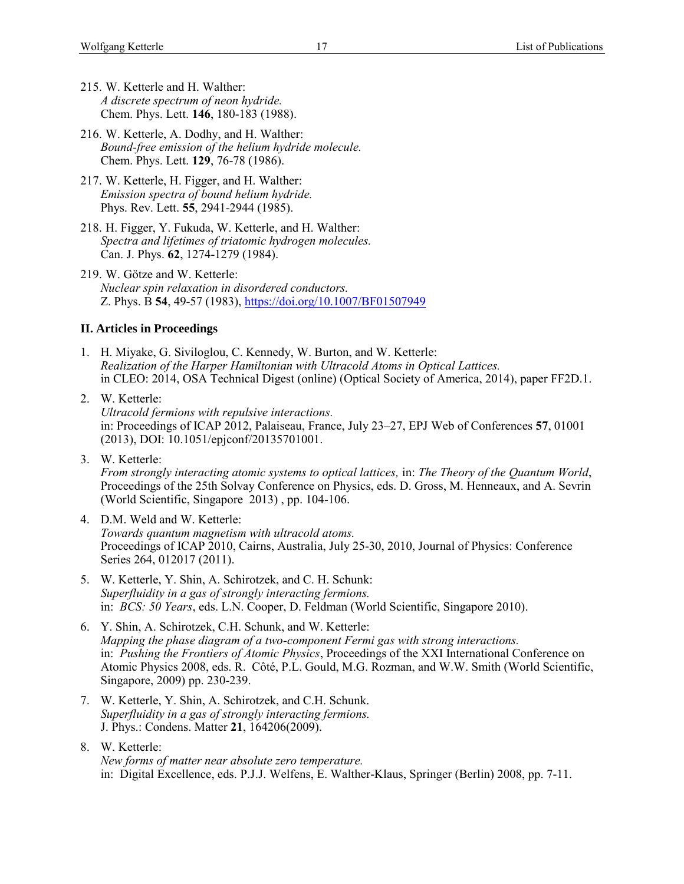- 215. W. Ketterle and H. Walther: *A discrete spectrum of neon hydride.* Chem. Phys. Lett. **146**, 180-183 (1988).
- 216. W. Ketterle, A. Dodhy, and H. Walther: *Bound-free emission of the helium hydride molecule.* Chem. Phys. Lett. **129**, 76-78 (1986).
- 217. W. Ketterle, H. Figger, and H. Walther: *Emission spectra of bound helium hydride.* Phys. Rev. Lett. **55**, 2941-2944 (1985).
- 218. H. Figger, Y. Fukuda, W. Ketterle, and H. Walther: *Spectra and lifetimes of triatomic hydrogen molecules.* Can. J. Phys. **62**, 1274-1279 (1984).
- 219. W. Götze and W. Ketterle: *Nuclear spin relaxation in disordered conductors.* Z. Phys. B **54**, 49-57 (1983),<https://doi.org/10.1007/BF01507949>

### **II. Articles in Proceedings**

- 1. H. Miyake, G. Siviloglou, C. Kennedy, W. Burton, and W. Ketterle: *Realization of the Harper Hamiltonian with Ultracold Atoms in Optical Lattices.* in CLEO: 2014, OSA Technical Digest (online) (Optical Society of America, 2014), paper FF2D.1.
- 2. W. Ketterle: *Ultracold fermions with repulsive interactions.* in: Proceedings of ICAP 2012, Palaiseau, France, July 23–27, EPJ Web of Conferences **57**, 01001 (2013), DOI: 10.1051/epjconf/20135701001.
- 3. W. Ketterle: *From strongly interacting atomic systems to optical lattices,* in: *The Theory of the Quantum World*, Proceedings of the 25th Solvay Conference on Physics, eds. D. Gross, M. Henneaux, and A. Sevrin (World Scientific, Singapore 2013) , pp. 104-106.
- 4. D.M. Weld and W. Ketterle: *Towards quantum magnetism with ultracold atoms.* Proceedings of ICAP 2010, Cairns, Australia, July 25-30, 2010, Journal of Physics: Conference Series 264, 012017 (2011).
- 5. W. Ketterle, Y. Shin, A. Schirotzek, and C. H. Schunk: *Superfluidity in a gas of strongly interacting fermions.* in: *BCS: 50 Years*, eds. L.N. Cooper, D. Feldman (World Scientific, Singapore 2010).
- 6. Y. Shin, A. Schirotzek, C.H. Schunk, and W. Ketterle: *Mapping the phase diagram of a two-component Fermi gas with strong interactions.* in: *Pushing the Frontiers of Atomic Physics*, Proceedings of the XXI International Conference on Atomic Physics 2008, eds. R. Côté, P.L. Gould, M.G. Rozman, and W.W. Smith (World Scientific, Singapore, 2009) pp. 230-239.
- 7. W. Ketterle, Y. Shin, A. Schirotzek, and C.H. Schunk. *Superfluidity in a gas of strongly interacting fermions.* J. Phys.: Condens. Matter **21**, 164206(2009).
- 8. W. Ketterle: *New forms of matter near absolute zero temperature.* in: Digital Excellence, eds. P.J.J. Welfens, E. Walther-Klaus, Springer (Berlin) 2008, pp. 7-11.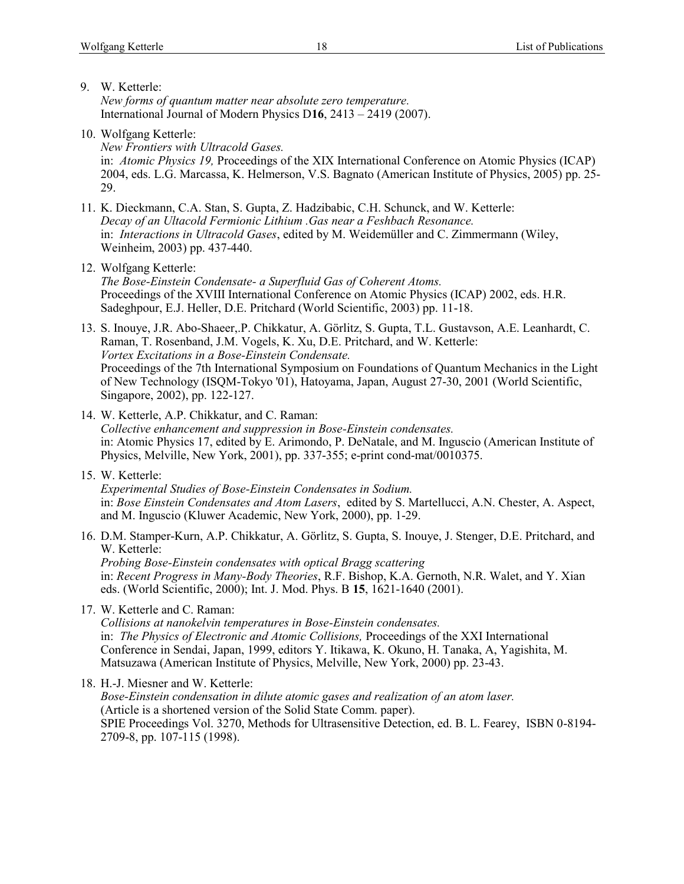9. W. Ketterle:

*New forms of quantum matter near absolute zero temperature.* International Journal of Modern Physics D**16**, 2413 – 2419 (2007).

10. Wolfgang Ketterle:

*New Frontiers with Ultracold Gases.* in: *Atomic Physics 19,* Proceedings of the XIX International Conference on Atomic Physics (ICAP) 2004, eds. L.G. Marcassa, K. Helmerson, V.S. Bagnato (American Institute of Physics, 2005) pp. 25- 29.

- 11. K. Dieckmann, C.A. Stan, S. Gupta, Z. Hadzibabic, C.H. Schunck, and W. Ketterle: *Decay of an Ultacold Fermionic Lithium .Gas near a Feshbach Resonance.* in: *Interactions in Ultracold Gases*, edited by M. Weidemüller and C. Zimmermann (Wiley, Weinheim, 2003) pp. 437-440.
- 12. Wolfgang Ketterle:

*The Bose-Einstein Condensate- a Superfluid Gas of Coherent Atoms.* Proceedings of the XVIII International Conference on Atomic Physics (ICAP) 2002, eds. H.R. Sadeghpour, E.J. Heller, D.E. Pritchard (World Scientific, 2003) pp. 11-18.

13. S. Inouye, J.R. Abo-Shaeer,.P. Chikkatur, A. Görlitz, S. Gupta, T.L. Gustavson, A.E. Leanhardt, C. Raman, T. Rosenband, J.M. Vogels, K. Xu, D.E. Pritchard, and W. Ketterle: *Vortex Excitations in a Bose-Einstein Condensate.* Proceedings of the 7th International Symposium on Foundations of Quantum Mechanics in the Light of New Technology (ISQM-Tokyo '01), Hatoyama, Japan, August 27-30, 2001 (World Scientific, Singapore, 2002), pp. 122-127.

- 14. W. Ketterle, A.P. Chikkatur, and C. Raman: *Collective enhancement and suppression in Bose-Einstein condensates.* in: Atomic Physics 17, edited by E. Arimondo, P. DeNatale, and M. Inguscio (American Institute of Physics, Melville, New York, 2001), pp. 337-355; e-print cond-mat/0010375.
- 15. W. Ketterle:

*Experimental Studies of Bose-Einstein Condensates in Sodium.* in: *Bose Einstein Condensates and Atom Lasers*, edited by S. Martellucci, A.N. Chester, A. Aspect, and M. Inguscio (Kluwer Academic, New York, 2000), pp. 1-29.

16. D.M. Stamper-Kurn, A.P. Chikkatur, A. Görlitz, S. Gupta, S. Inouye, J. Stenger, D.E. Pritchard, and W. Ketterle: *Probing Bose-Einstein condensates with optical Bragg scattering*

in: *Recent Progress in Many-Body Theories*, R.F. Bishop, K.A. Gernoth, N.R. Walet, and Y. Xian eds. (World Scientific, 2000); Int. J. Mod. Phys. B **15**, 1621-1640 (2001).

17. W. Ketterle and C. Raman:

*Collisions at nanokelvin temperatures in Bose-Einstein condensates.* in: *The Physics of Electronic and Atomic Collisions,* Proceedings of the XXI International Conference in Sendai, Japan, 1999, editors Y. Itikawa, K. Okuno, H. Tanaka, A, Yagishita, M. Matsuzawa (American Institute of Physics, Melville, New York, 2000) pp. 23-43.

18. H.-J. Miesner and W. Ketterle: *Bose-Einstein condensation in dilute atomic gases and realization of an atom laser.* (Article is a shortened version of the Solid State Comm. paper). SPIE Proceedings Vol. 3270, Methods for Ultrasensitive Detection, ed. B. L. Fearey, ISBN 0-8194- 2709-8, pp. 107-115 (1998).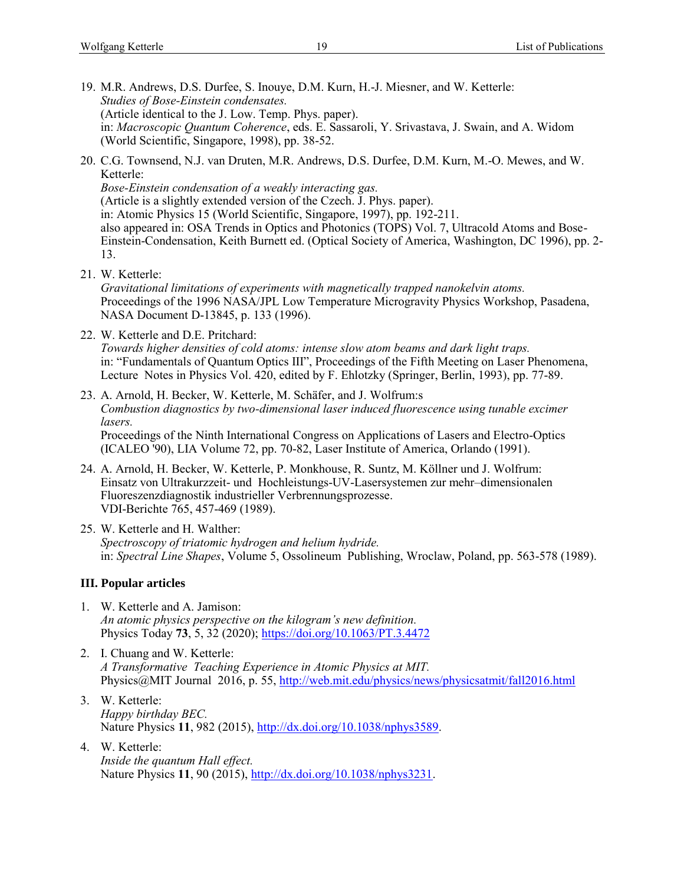- 19. M.R. Andrews, D.S. Durfee, S. Inouye, D.M. Kurn, H.-J. Miesner, and W. Ketterle: *Studies of Bose-Einstein condensates.* (Article identical to the J. Low. Temp. Phys. paper). in: *Macroscopic Quantum Coherence*, eds. E. Sassaroli, Y. Srivastava, J. Swain, and A. Widom (World Scientific, Singapore, 1998), pp. 38-52.
- 20. C.G. Townsend, N.J. van Druten, M.R. Andrews, D.S. Durfee, D.M. Kurn, M.-O. Mewes, and W. Ketterle:

*Bose-Einstein condensation of a weakly interacting gas.* (Article is a slightly extended version of the Czech. J. Phys. paper). in: Atomic Physics 15 (World Scientific, Singapore, 1997), pp. 192-211. also appeared in: OSA Trends in Optics and Photonics (TOPS) Vol. 7, Ultracold Atoms and Bose-Einstein-Condensation, Keith Burnett ed. (Optical Society of America, Washington, DC 1996), pp. 2- 13.

21. W. Ketterle:

*Gravitational limitations of experiments with magnetically trapped nanokelvin atoms.* Proceedings of the 1996 NASA/JPL Low Temperature Microgravity Physics Workshop, Pasadena, NASA Document D-13845, p. 133 (1996).

22. W. Ketterle and D.E. Pritchard:

*Towards higher densities of cold atoms: intense slow atom beams and dark light traps.* in: "Fundamentals of Quantum Optics III", Proceedings of the Fifth Meeting on Laser Phenomena, Lecture Notes in Physics Vol. 420, edited by F. Ehlotzky (Springer, Berlin, 1993), pp. 77-89.

- 23. A. Arnold, H. Becker, W. Ketterle, M. Schäfer, and J. Wolfrum:s *Combustion diagnostics by two-dimensional laser induced fluorescence using tunable excimer lasers.* Proceedings of the Ninth International Congress on Applications of Lasers and Electro-Optics (ICALEO '90), LIA Volume 72, pp. 70-82, Laser Institute of America, Orlando (1991).
- 24. A. Arnold, H. Becker, W. Ketterle, P. Monkhouse, R. Suntz, M. Köllner und J. Wolfrum: Einsatz von Ultrakurzzeit- und Hochleistungs-UV-Lasersystemen zur mehr–dimensionalen Fluoreszenzdiagnostik industrieller Verbrennungsprozesse. VDI-Berichte 765, 457-469 (1989).
- 25. W. Ketterle and H. Walther: *Spectroscopy of triatomic hydrogen and helium hydride.* in: *Spectral Line Shapes*, Volume 5, Ossolineum Publishing, Wroclaw, Poland, pp. 563-578 (1989).

## **III. Popular articles**

- 1. W. Ketterle and A. Jamison: *An atomic physics perspective on the kilogram's new definition.* Physics Today **73**, 5, 32 (2020);<https://doi.org/10.1063/PT.3.4472>
- 2. I. Chuang and W. Ketterle: *A Transformative Teaching Experience in Atomic Physics at MIT.* Physics@MIT Journal 2016, p. 55,<http://web.mit.edu/physics/news/physicsatmit/fall2016.html>
- 3. W. Ketterle: *Happy birthday BEC.* Nature Physics 11, 982 (2015), [http://dx.doi.org/10.1038/nphys3589.](http://dx.doi.org/10.1038/nphys3589)
- 4. W. Ketterle: *Inside the quantum Hall effect.* Nature Physics **11**, 90 (2015), [http://dx.doi.org/10.1038/nphys3231.](http://dx.doi.org/10.1038/nphys3231)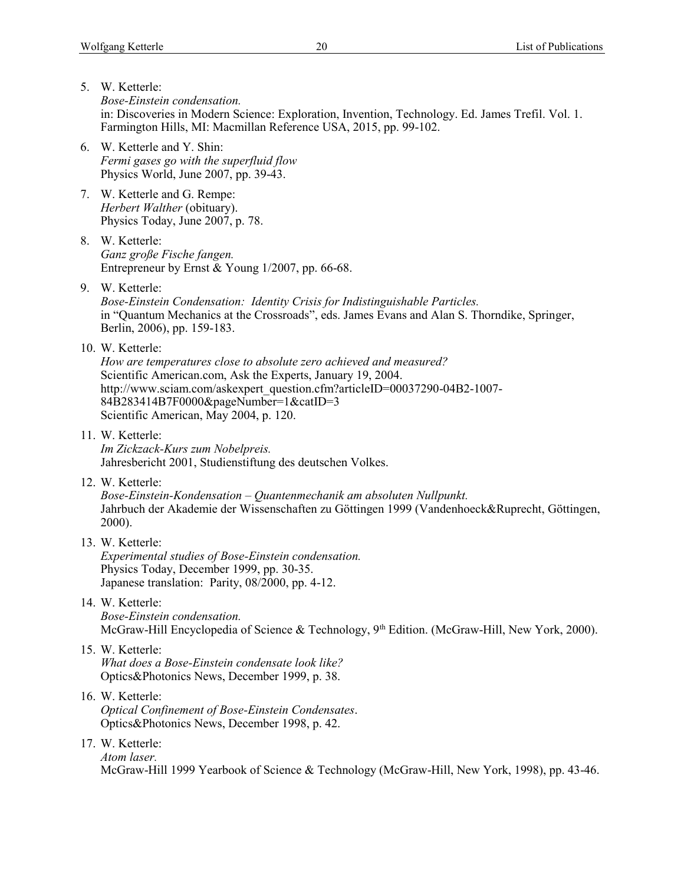- 5. W. Ketterle: *Bose-Einstein condensation.* in: Discoveries in Modern Science: Exploration, Invention, Technology. Ed. James Trefil. Vol. 1. Farmington Hills, MI: Macmillan Reference USA, 2015, pp. 99-102.
- 6. W. Ketterle and Y. Shin: *Fermi gases go with the superfluid flow* Physics World, June 2007, pp. 39-43.
- 7. W. Ketterle and G. Rempe: *Herbert Walther* (obituary). Physics Today, June 2007, p. 78.
- 8. W. Ketterle: *Ganz große Fische fangen.* Entrepreneur by Ernst & Young 1/2007, pp. 66-68.
- 9. W. Ketterle:

*Bose-Einstein Condensation: Identity Crisis for Indistinguishable Particles.* in "Quantum Mechanics at the Crossroads", eds. James Evans and Alan S. Thorndike, Springer, Berlin, 2006), pp. 159-183.

10. W. Ketterle:

*How are temperatures close to absolute zero achieved and measured?* Scientific American.com, Ask the Experts, January 19, 2004. http://www.sciam.com/askexpert\_question.cfm?articleID=00037290-04B2-1007- 84B283414B7F0000&pageNumber=1&catID=3 Scientific American, May 2004, p. 120.

11. W. Ketterle:

*Im Zickzack-Kurs zum Nobelpreis.* Jahresbericht 2001, Studienstiftung des deutschen Volkes.

12. W. Ketterle:

*Bose-Einstein-Kondensation – Quantenmechanik am absoluten Nullpunkt.* Jahrbuch der Akademie der Wissenschaften zu Göttingen 1999 (Vandenhoeck&Ruprecht, Göttingen, 2000).

13. W. Ketterle:

*Experimental studies of Bose-Einstein condensation.* Physics Today, December 1999, pp. 30-35. Japanese translation: Parity, 08/2000, pp. 4-12.

14. W. Ketterle:

*Bose-Einstein condensation.*  McGraw-Hill Encyclopedia of Science & Technology, 9<sup>th</sup> Edition. (McGraw-Hill, New York, 2000).

- 15. W. Ketterle: *What does a Bose-Einstein condensate look like?* Optics&Photonics News, December 1999, p. 38.
- 16. W. Ketterle: *Optical Confinement of Bose-Einstein Condensates*. Optics&Photonics News, December 1998, p. 42.
- 17. W. Ketterle:

*Atom laser.* McGraw-Hill 1999 Yearbook of Science & Technology (McGraw-Hill, New York, 1998), pp. 43-46.